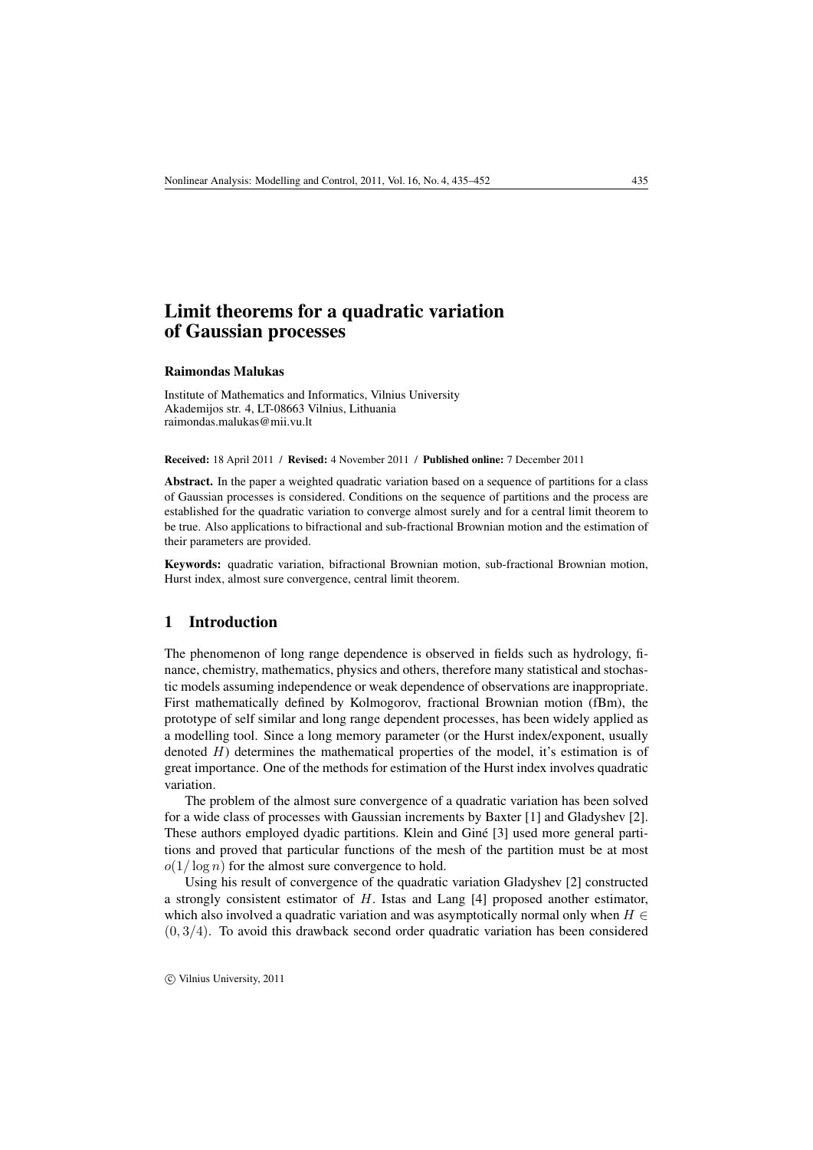# Limit theorems for a quadratic variation of Gaussian processes

#### Raimondas Malukas

Institute of Mathematics and Informatics, Vilnius University Akademijos str. 4, LT-08663 Vilnius, Lithuania raimondas.malukas@mii.vu.lt

Received: 18 April 2011 / Revised: 4 November 2011 / Published online: 7 December 2011

Abstract. In the paper a weighted quadratic variation based on a sequence of partitions for a class of Gaussian processes is considered. Conditions on the sequence of partitions and the process are established for the quadratic variation to converge almost surely and for a central limit theorem to be true. Also applications to bifractional and sub-fractional Brownian motion and the estimation of their parameters are provided.

Keywords: quadratic variation, bifractional Brownian motion, sub-fractional Brownian motion, Hurst index, almost sure convergence, central limit theorem.

### 1 Introduction

The phenomenon of long range dependence is observed in fields such as hydrology, finance, chemistry, mathematics, physics and others, therefore many statistical and stochastic models assuming independence or weak dependence of observations are inappropriate. First mathematically defined by Kolmogorov, fractional Brownian motion (fBm), the prototype of self similar and long range dependent processes, has been widely applied as a modelling tool. Since a long memory parameter (or the Hurst index/exponent, usually denoted  $H$ ) determines the mathematical properties of the model, it's estimation is of great importance. One of the methods for estimation of the Hurst index involves quadratic variation.

The problem of the almost sure convergence of a quadratic variation has been solved for a wide class of processes with Gaussian increments by Baxter [1] and Gladyshev [2]. These authors employed dyadic partitions. Klein and Giné [3] used more general partitions and proved that particular functions of the mesh of the partition must be at most  $o(1/\log n)$  for the almost sure convergence to hold.

Using his result of convergence of the quadratic variation Gladyshev [2] constructed a strongly consistent estimator of H. Istas and Lang [4] proposed another estimator, which also involved a quadratic variation and was asymptotically normal only when  $H \in$  $(0, 3/4)$ . To avoid this drawback second order quadratic variation has been considered

c Vilnius University, 2011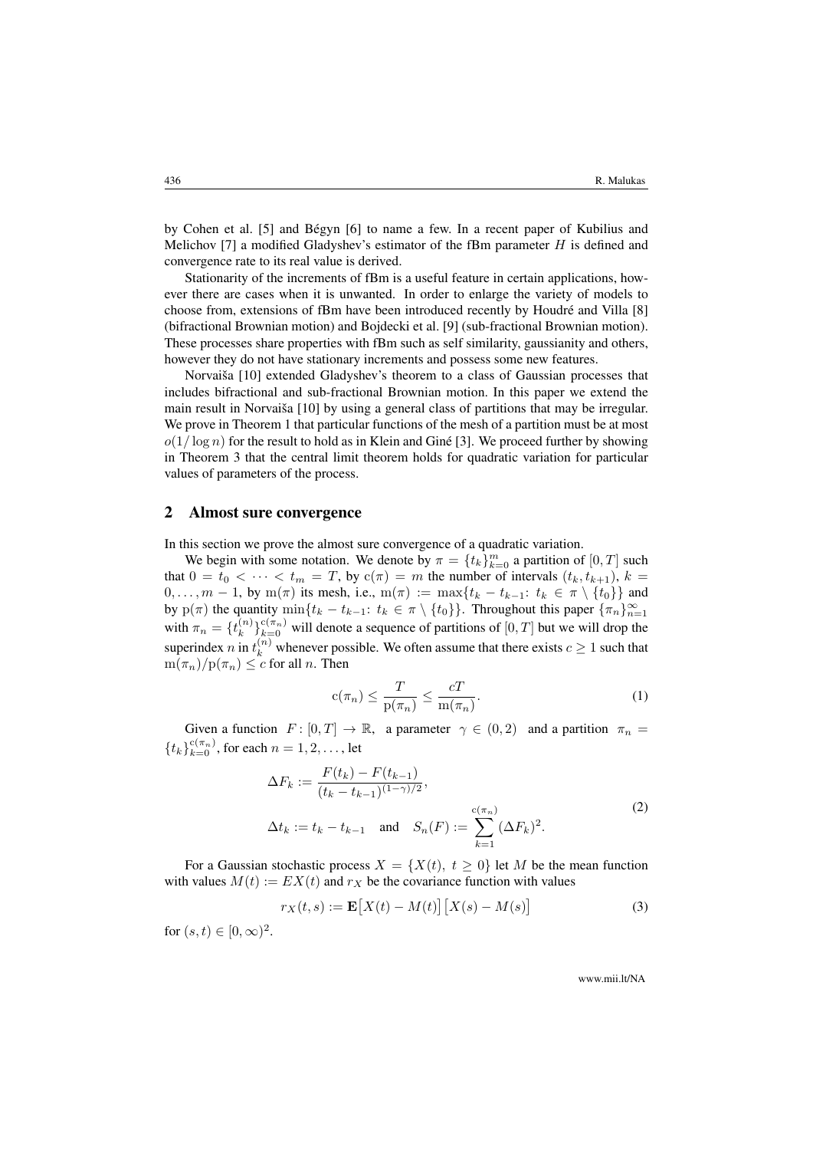by Cohen et al. [5] and Bégyn [6] to name a few. In a recent paper of Kubilius and Melichov [7] a modified Gladyshev's estimator of the fBm parameter  $H$  is defined and convergence rate to its real value is derived.

Stationarity of the increments of fBm is a useful feature in certain applications, however there are cases when it is unwanted. In order to enlarge the variety of models to choose from, extensions of fBm have been introduced recently by Houdré and Villa [8] (bifractional Brownian motion) and Bojdecki et al. [9] (sub-fractional Brownian motion). These processes share properties with fBm such as self similarity, gaussianity and others, however they do not have stationary increments and possess some new features.

Norvaiša [10] extended Gladyshev's theorem to a class of Gaussian processes that includes bifractional and sub-fractional Brownian motion. In this paper we extend the main result in Norvaiša [10] by using a general class of partitions that may be irregular. We prove in Theorem 1 that particular functions of the mesh of a partition must be at most  $o(1/\log n)$  for the result to hold as in Klein and Giné [3]. We proceed further by showing in Theorem 3 that the central limit theorem holds for quadratic variation for particular values of parameters of the process.

### 2 Almost sure convergence

In this section we prove the almost sure convergence of a quadratic variation.

We begin with some notation. We denote by  $\pi = \{t_k\}_{k=0}^m$  a partition of  $[0, T]$  such that  $0 = t_0 < \cdots < t_m = T$ , by  $c(\pi) = m$  the number of intervals  $(t_k, t_{k+1}), k =$  $0, \ldots, m-1$ , by m( $\pi$ ) its mesh, i.e., m( $\pi$ ) := max{ $t_k - t_{k-1}: t_k \in \pi \setminus \{t_0\}$ } and by  $p(\pi)$  the quantity  $\min\{t_k - t_{k-1}: t_k \in \pi \setminus \{t_0\}\}\$ . Throughout this paper  $\{\pi_n\}_{n=1}^{\infty}$ with  $\pi_n = \{t_k^{(n)}\}$  ${k \choose k}_{k=0}^{c(\pi_n)}$  will denote a sequence of partitions of  $[0, T]$  but we will drop the superindex *n* in  $t_k^{(n)}$  whenever possible. We often assume that there exists  $c \ge 1$  such that  $m(\pi_n)/p(\pi_n) \leq c$  for all n. Then

$$
c(\pi_n) \le \frac{T}{p(\pi_n)} \le \frac{cT}{m(\pi_n)}.\tag{1}
$$

Given a function  $F: [0, T] \to \mathbb{R}$ , a parameter  $\gamma \in (0, 2)$  and a partition  $\pi_n =$  ${t_k}_{k=0}^{c(\pi_n)}$ , for each  $n = 1, 2, ...,$  let

$$
\Delta F_k := \frac{F(t_k) - F(t_{k-1})}{(t_k - t_{k-1})^{(1-\gamma)/2}},
$$
  
\n
$$
\Delta t_k := t_k - t_{k-1} \text{ and } S_n(F) := \sum_{k=1}^{c(\pi_n)} (\Delta F_k)^2.
$$
\n(2)

For a Gaussian stochastic process  $X = \{X(t), t \ge 0\}$  let M be the mean function with values  $M(t) := EX(t)$  and  $r_X$  be the covariance function with values

$$
r_X(t,s) := \mathbf{E}\big[X(t) - M(t)\big]\big[X(s) - M(s)\big] \tag{3}
$$

for  $(s, t) \in [0, \infty)^2$ .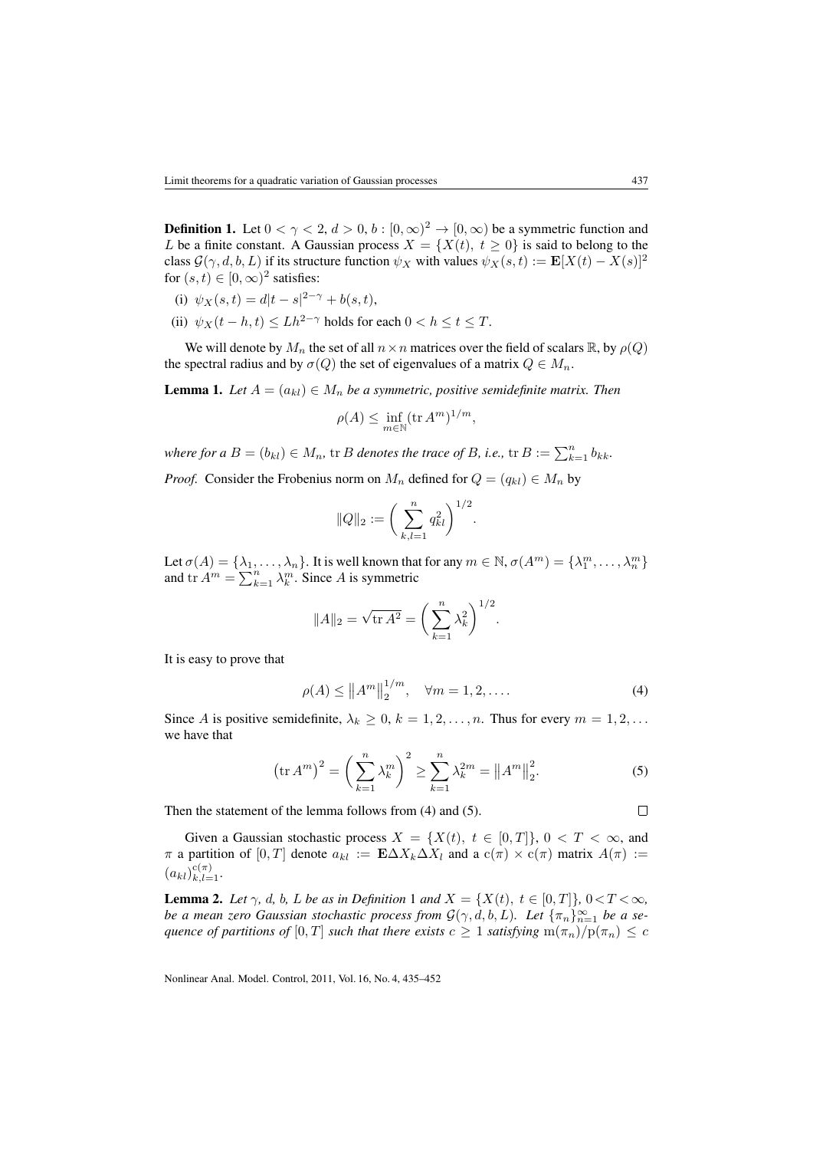**Definition 1.** Let  $0 < \gamma < 2$ ,  $d > 0$ ,  $b : [0, \infty)^2 \to [0, \infty)$  be a symmetric function and L be a finite constant. A Gaussian process  $X = \{X(t), t \ge 0\}$  is said to belong to the class  $\mathcal{G}(\gamma, d, b, L)$  if its structure function  $\psi_X$  with values  $\psi_X(s, t) := \mathbf{E}[X(t) - X(s)]^2$ for  $(s, t) \in [0, \infty)^2$  satisfies:

- (i)  $\psi_X(s,t) = d|t-s|^{2-\gamma} + b(s,t),$
- (ii)  $\psi_X(t-h,t) \leq Lh^{2-\gamma}$  holds for each  $0 < h \leq t \leq T$ .

We will denote by  $M_n$  the set of all  $n \times n$  matrices over the field of scalars R, by  $\rho(Q)$ the spectral radius and by  $\sigma(Q)$  the set of eigenvalues of a matrix  $Q \in M_n$ .

**Lemma 1.** *Let*  $A = (a_{kl}) \in M_n$  *be a symmetric, positive semidefinite matrix. Then* 

$$
\rho(A) \le \inf_{m \in \mathbb{N}} (\text{tr } A^m)^{1/m},
$$

*where for a*  $B = (b_{kl}) \in M_n$ , tr *B denotes the trace of B*, *i.e.*, tr  $B := \sum_{k=1}^n b_{kk}$ . *Proof.* Consider the Frobenius norm on  $M_n$  defined for  $Q = (q_{kl}) \in M_n$  by

$$
||Q||_2 := \bigg(\sum_{k,l=1}^n q_{kl}^2\bigg)^{1/2}.
$$

Let  $\sigma(A) = \{\lambda_1, \ldots, \lambda_n\}$ . It is well known that for any  $m \in \mathbb{N}$ ,  $\sigma(A^m) = \{\lambda_1^m, \ldots, \lambda_n^m\}$ and  $\text{tr } A^m = \sum_{k=1}^n \lambda_k^m$ . Since A is symmetric

$$
||A||_2 = \sqrt{\text{tr } A^2} = \left(\sum_{k=1}^n \lambda_k^2\right)^{1/2}.
$$

It is easy to prove that

$$
\rho(A) \le ||A^m||_2^{1/m}, \quad \forall m = 1, 2, ....
$$
 (4)

Since A is positive semidefinite,  $\lambda_k \geq 0$ ,  $k = 1, 2, ..., n$ . Thus for every  $m = 1, 2, ...$ we have that

$$
\left(\text{tr}\,A^m\right)^2 = \left(\sum_{k=1}^n \lambda_k^m\right)^2 \ge \sum_{k=1}^n \lambda_k^{2m} = \|A^m\|_2^2. \tag{5}
$$

Then the statement of the lemma follows from (4) and (5).

Given a Gaussian stochastic process  $X = \{X(t), t \in [0,T]\}, 0 < T < \infty$ , and  $\pi$  a partition of  $[0, T]$  denote  $a_{kl} := \mathbf{E} \Delta X_k \Delta X_l$  and a  $c(\pi) \times c(\pi)$  matrix  $A(\pi) :=$  $(a_{kl})_{k,l=1}^{c(\pi)}$ .

**Lemma 2.** Let  $\gamma$ , d, b, L be as in Definition 1 and  $X = \{X(t), t \in [0,T]\}, 0 < T < \infty$ , *be a mean zero Gaussian stochastic process from*  $\mathcal{G}(\gamma, d, b, L)$ *. Let*  $\{\pi_n\}_{n=1}^{\infty}$  *be a sequence of partitions of*  $[0, T]$  *such that there exists*  $c \geq 1$  *satisfying*  $m(\pi_n)/p(\pi_n) \leq c$ 

Nonlinear Anal. Model. Control, 2011, Vol. 16, No. 4, 435–452

 $\Box$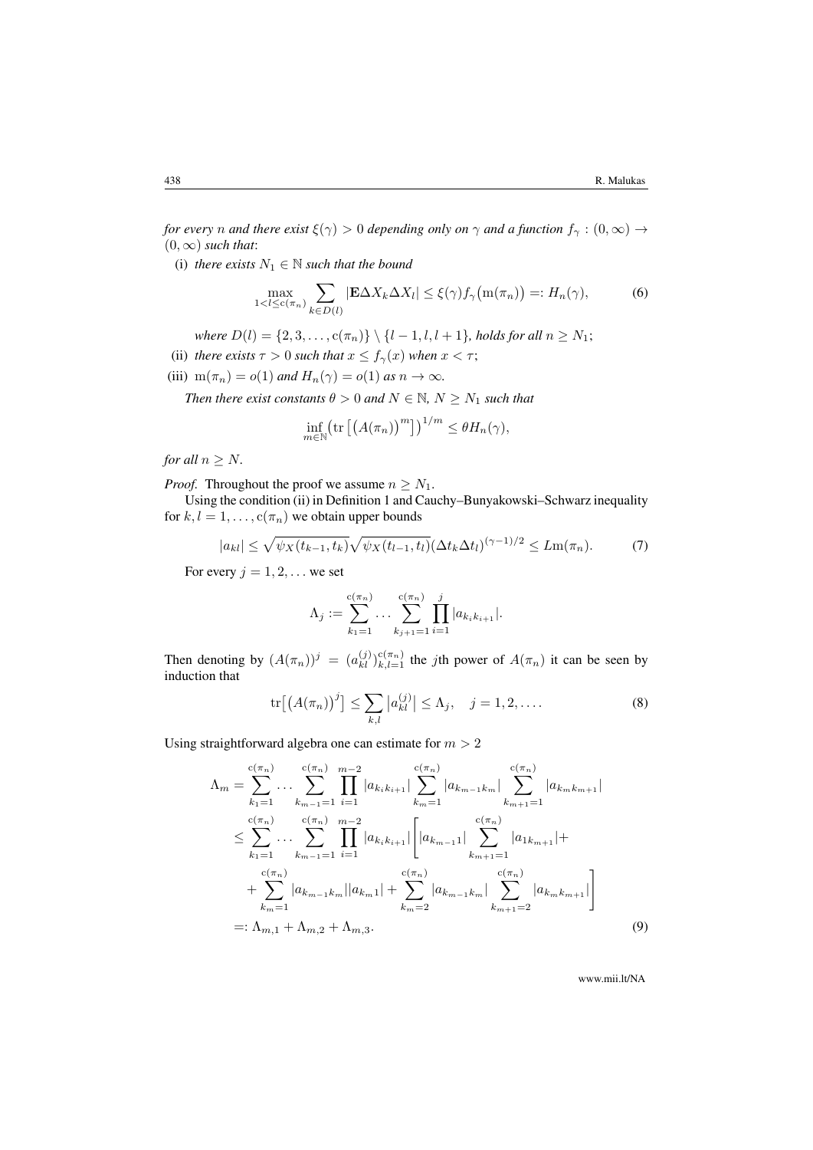*for every n and there exist*  $\xi(\gamma) > 0$  *depending only on*  $\gamma$  *and a function*  $f_{\gamma} : (0, \infty) \to$  $(0, \infty)$  *such that*:

(i) *there exists*  $N_1 \in \mathbb{N}$  *such that the bound* 

$$
\max_{1 < l \le c(\pi_n)} \sum_{k \in D(l)} |\mathbf{E} \Delta X_k \Delta X_l| \le \xi(\gamma) f_\gamma \big( \mathbf{m}(\pi_n) \big) =: H_n(\gamma),\tag{6}
$$

*where*  $D(l) = \{2, 3, ..., c(\pi_n)\} \setminus \{l - 1, l, l + 1\}$ *, holds for all*  $n \ge N_1$ ;

(ii) *there exists*  $\tau > 0$  *such that*  $x \le f_\gamma(x)$  *when*  $x < \tau$ ;

(iii)  $m(\pi_n) = o(1)$  *and*  $H_n(\gamma) = o(1)$  *as*  $n \to \infty$ *.* 

*Then there exist constants*  $\theta > 0$  *and*  $N \in \mathbb{N}$ ,  $N > N_1$  *such that* 

$$
\inf_{m \in \mathbb{N}} \left( \text{tr} \left[ \left( A(\pi_n) \right)^m \right] \right)^{1/m} \leq \theta H_n(\gamma),
$$

*for all*  $n \geq N$ *.* 

*Proof.* Throughout the proof we assume  $n \geq N_1$ .

Using the condition (ii) in Definition 1 and Cauchy–Bunyakowski–Schwarz inequality for  $k, l = 1, \ldots, c(\pi_n)$  we obtain upper bounds

$$
|a_{kl}| \leq \sqrt{\psi_X(t_{k-1}, t_k)} \sqrt{\psi_X(t_{l-1}, t_l)} (\Delta t_k \Delta t_l)^{(\gamma - 1)/2} \leq Lm(\pi_n). \tag{7}
$$

For every  $j = 1, 2, \dots$  we set

$$
\Lambda_j := \sum_{k_1=1}^{c(\pi_n)} \dots \sum_{k_{j+1}=1}^{c(\pi_n)} \prod_{i=1}^j |a_{k_ik_{i+1}}|.
$$

Then denoting by  $(A(\pi_n))^j = (a_{kl}^{(j)})_{k,l=1}^{c(\pi_n)}$  the jth power of  $A(\pi_n)$  it can be seen by induction that

$$
\text{tr}\big[\big(A(\pi_n)\big)^j\big] \le \sum_{k,l} |a_{kl}^{(j)}| \le \Lambda_j, \quad j = 1, 2, \dots \tag{8}
$$

Using straightforward algebra one can estimate for  $m > 2$ 

$$
\Lambda_{m} = \sum_{k_{1}=1}^{c(\pi_{n})} \dots \sum_{k_{m-1}=1}^{c(\pi_{n})} \prod_{i=1}^{m-2} |a_{k_{i}k_{i+1}}| \sum_{k_{m}=1}^{c(\pi_{n})} |a_{k_{m-1}k_{m}}| \sum_{k_{m+1}=1}^{c(\pi_{n})} |a_{k_{m}k_{m+1}}|
$$
  
\n
$$
\leq \sum_{k_{1}=1}^{c(\pi_{n})} \dots \sum_{k_{m-1}=1}^{c(\pi_{n})} \prod_{i=1}^{m-2} |a_{k_{i}k_{i+1}}| \left[ |a_{k_{m-1}1}| \sum_{k_{m+1}=1}^{c(\pi_{n})} |a_{1k_{m+1}}| + \sum_{k_{m}=1}^{c(\pi_{n})} |a_{k_{m-1}k_{m}}| \sum_{k_{m+1}=2}^{c(\pi_{n})} |a_{k_{m}k_{m+1}}| \right]
$$
  
\n
$$
+ \sum_{k_{m}=1}^{c(\pi_{n})} |a_{k_{m-1}k_{m}}| |a_{k_{m}1}| + \sum_{k_{m}=2}^{c(\pi_{n})} |a_{k_{m-1}k_{m}}| \sum_{k_{m+1}=2}^{c(\pi_{n})} |a_{k_{m}k_{m+1}}| \right]
$$
  
\n
$$
=:\Lambda_{m,1} + \Lambda_{m,2} + \Lambda_{m,3}.
$$
 (9)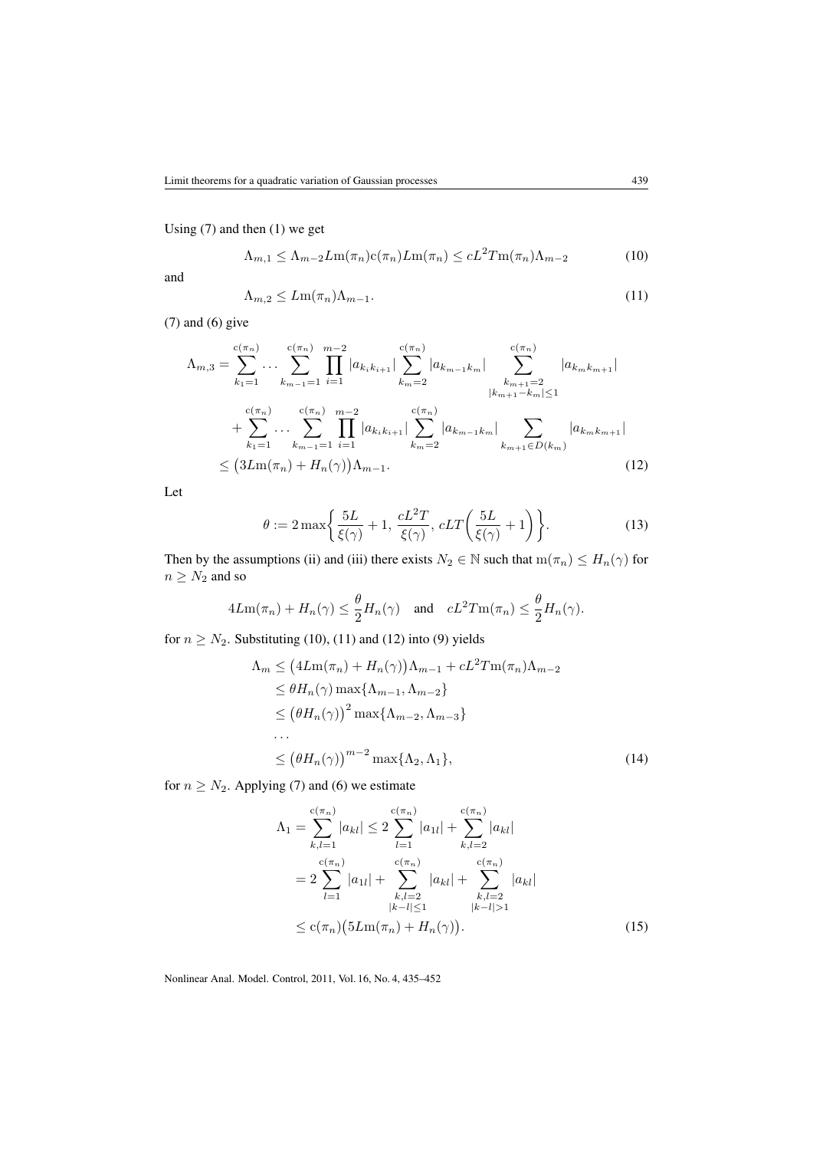Using (7) and then (1) we get

$$
\Lambda_{m,1} \le \Lambda_{m-2} L m(\pi_n) c(\pi_n) L m(\pi_n) \le c L^2 T m(\pi_n) \Lambda_{m-2}
$$
 (10)

and

$$
\Lambda_{m,2} \le Lm(\pi_n)\Lambda_{m-1}.\tag{11}
$$

(7) and (6) give

$$
\Lambda_{m,3} = \sum_{k_1=1}^{c(\pi_n)} \cdots \sum_{k_{m-1}=1}^{c(\pi_n)} \prod_{i=1}^{m-2} |a_{k_ik_{i+1}}| \sum_{k_m=2}^{c(\pi_n)} |a_{k_{m-1}k_m}| \sum_{k_{m+1}=2}^{c(\pi_n)} |a_{k_m k_{m+1}}|
$$
  
+ 
$$
\sum_{k_1=1}^{c(\pi_n)} \cdots \sum_{k_{m-1}=1}^{c(\pi_n)} \prod_{i=1}^{m-2} |a_{k_ik_{i+1}}| \sum_{k_m=2}^{c(\pi_n)} |a_{k_{m-1}k_m}| \sum_{k_{m+1}\in D(k_m)} |a_{k_m k_{m+1}}|
$$
  

$$
\leq (3Lm(\pi_n) + H_n(\gamma))\Lambda_{m-1}.
$$
 (12)

Let

$$
\theta := 2 \max \bigg\{ \frac{5L}{\xi(\gamma)} + 1, \frac{cL^2T}{\xi(\gamma)}, cLT\bigg(\frac{5L}{\xi(\gamma)} + 1\bigg) \bigg\}.
$$
 (13)

Then by the assumptions (ii) and (iii) there exists  $N_2 \in \mathbb{N}$  such that  $m(\pi_n) \leq H_n(\gamma)$  for  $n \geq N_2$  and so

$$
4Lm(\pi_n) + H_n(\gamma) \le \frac{\theta}{2} H_n(\gamma) \quad \text{and} \quad cL^2 T m(\pi_n) \le \frac{\theta}{2} H_n(\gamma).
$$

for  $n \geq N_2$ . Substituting (10), (11) and (12) into (9) yields

$$
\Lambda_m \leq \left( 4\mathcal{L}m(\pi_n) + H_n(\gamma) \right) \Lambda_{m-1} + cL^2 T m(\pi_n) \Lambda_{m-2}
$$
  
\n
$$
\leq \theta H_n(\gamma) \max \{ \Lambda_{m-1}, \Lambda_{m-2} \}
$$
  
\n
$$
\leq \left( \theta H_n(\gamma) \right)^2 \max \{ \Lambda_{m-2}, \Lambda_{m-3} \}
$$
  
\n...  
\n
$$
\leq \left( \theta H_n(\gamma) \right)^{m-2} \max \{ \Lambda_2, \Lambda_1 \}, \tag{14}
$$

for  $n \geq N_2$ . Applying (7) and (6) we estimate

$$
\Lambda_{1} = \sum_{k,l=1}^{c(\pi_{n})} |a_{kl}| \leq 2 \sum_{l=1}^{c(\pi_{n})} |a_{1l}| + \sum_{k,l=2}^{c(\pi_{n})} |a_{kl}|
$$
  
=  $2 \sum_{l=1}^{c(\pi_{n})} |a_{1l}| + \sum_{\substack{k,l=2 \ k-l \leq 1}}^{c(\pi_{n})} |a_{kl}| + \sum_{\substack{k,l=2 \ k-l \geq 1}}^{c(\pi_{n})} |a_{kl}|$   
 $\leq c(\pi_{n}) (5Lm(\pi_{n}) + H_{n}(\gamma)).$  (15)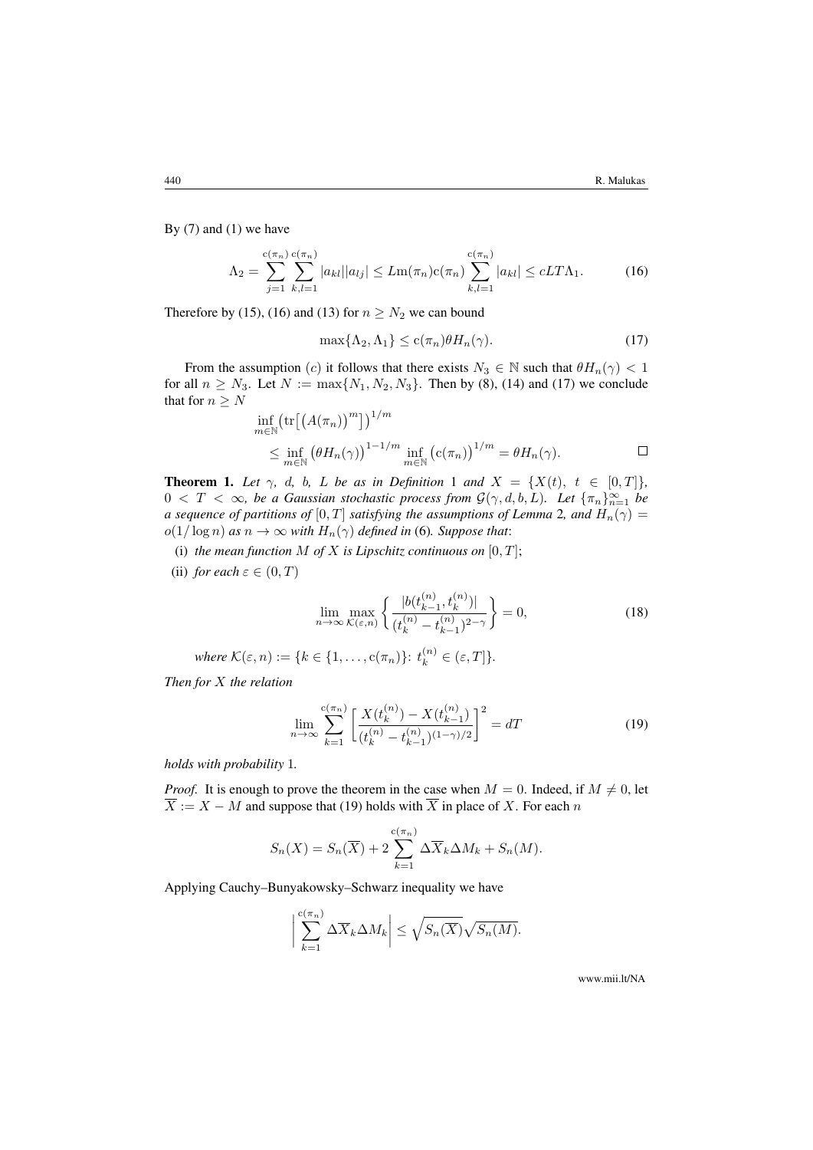By  $(7)$  and  $(1)$  we have

$$
\Lambda_2 = \sum_{j=1}^{c(\pi_n)} \sum_{k,l=1}^{c(\pi_n)} |a_{kl}| |a_{lj}| \le Lm(\pi_n)c(\pi_n) \sum_{k,l=1}^{c(\pi_n)} |a_{kl}| \le cLT\Lambda_1.
$$
 (16)

Therefore by (15), (16) and (13) for  $n \geq N_2$  we can bound

$$
\max\{\Lambda_2, \Lambda_1\} \le c(\pi_n)\theta H_n(\gamma). \tag{17}
$$

From the assumption (c) it follows that there exists  $N_3 \in \mathbb{N}$  such that  $\theta H_n(\gamma) < 1$ for all  $n \ge N_3$ . Let  $N := \max\{N_1, N_2, N_3\}$ . Then by (8), (14) and (17) we conclude that for  $n \geq N$ 

$$
\inf_{m \in \mathbb{N}} \left( \text{tr} \left[ \left( A(\pi_n) \right)^m \right] \right)^{1/m}
$$
\n
$$
\leq \inf_{m \in \mathbb{N}} \left( \theta H_n(\gamma) \right)^{1-1/m} \inf_{m \in \mathbb{N}} \left( c(\pi_n) \right)^{1/m} = \theta H_n(\gamma). \qquad \Box
$$

**Theorem 1.** Let  $\gamma$ , d, b, L be as in Definition 1 and  $X = \{X(t), t \in [0, T]\}$ ,  $0 < T < \infty$ , be a Gaussian stochastic process from  $\mathcal{G}(\gamma, d, b, L)$ . Let  $\{\pi_n\}_{n=1}^{\infty}$  be *a sequence of partitions of*  $[0, T]$  *satisfying the assumptions of Lemma* 2*, and*  $H_n(\gamma)$  =  $o(1/\log n)$  *as*  $n \to \infty$  *with*  $H_n(\gamma)$  *defined in* (6)*. Suppose that:* 

- (i) *the mean function*  $M$  *of*  $X$  *is Lipschitz continuous on*  $[0, T]$ ;
- (ii) *for each*  $\varepsilon \in (0, T)$

$$
\lim_{n \to \infty} \max_{\mathcal{K}(\varepsilon, n)} \left\{ \frac{|b(t_{k-1}^{(n)}, t_k^{(n)})|}{(t_k^{(n)} - t_{k-1}^{(n)})^{2-\gamma}} \right\} = 0,
$$
\n(18)

where  $\mathcal{K}(\varepsilon, n) := \{k \in \{1, \ldots, c(\pi_n)\} : t_k^{(n)} \in (\varepsilon, T]\}.$ 

*Then for* X *the relation*

$$
\lim_{n \to \infty} \sum_{k=1}^{c(\pi_n)} \left[ \frac{X(t_k^{(n)}) - X(t_{k-1}^{(n)})}{(t_k^{(n)} - t_{k-1}^{(n)})^{(1-\gamma)/2}} \right]^2 = dT \tag{19}
$$

*holds with probability* 1*.*

*Proof.* It is enough to prove the theorem in the case when  $M = 0$ . Indeed, if  $M \neq 0$ , let  $\overline{X} := X - M$  and suppose that (19) holds with  $\overline{X}$  in place of X. For each n

$$
S_n(X) = S_n(\overline{X}) + 2\sum_{k=1}^{c(\pi_n)} \Delta \overline{X}_k \Delta M_k + S_n(M).
$$

Applying Cauchy–Bunyakowsky–Schwarz inequality we have

$$
\left|\sum_{k=1}^{c(\pi_n)} \Delta \overline{X}_k \Delta M_k\right| \leq \sqrt{S_n(\overline{X})} \sqrt{S_n(M)}.
$$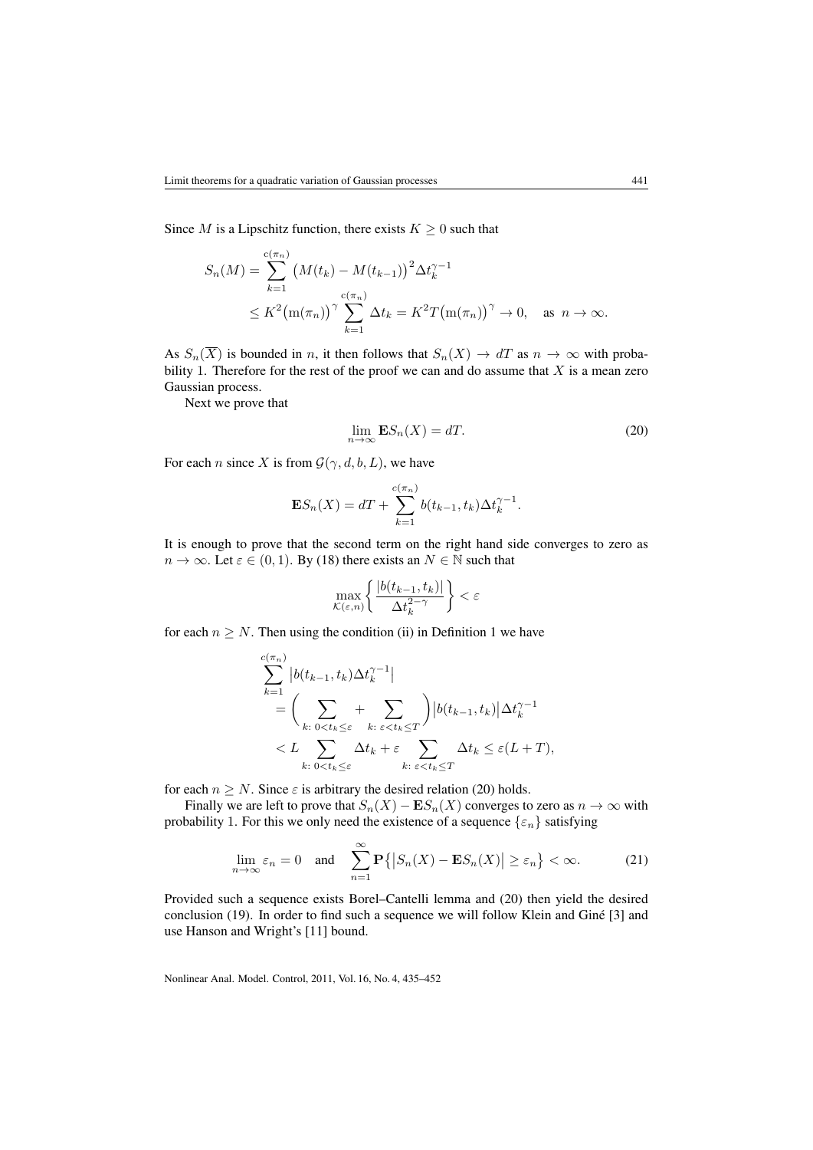Since M is a Lipschitz function, there exists  $K \geq 0$  such that

$$
S_n(M) = \sum_{k=1}^{c(\pi_n)} (M(t_k) - M(t_{k-1}))^2 \Delta t_k^{\gamma - 1}
$$
  
 
$$
\leq K^2 \big( m(\pi_n) \big)^{\gamma} \sum_{k=1}^{c(\pi_n)} \Delta t_k = K^2 T \big( m(\pi_n) \big)^{\gamma} \to 0, \text{ as } n \to \infty.
$$

As  $S_n(\overline{X})$  is bounded in n, it then follows that  $S_n(X) \to dT$  as  $n \to \infty$  with probability 1. Therefore for the rest of the proof we can and do assume that  $X$  is a mean zero Gaussian process.

Next we prove that

$$
\lim_{n \to \infty} \mathbf{E} S_n(X) = dT. \tag{20}
$$

For each *n* since X is from  $\mathcal{G}(\gamma, d, b, L)$ , we have

$$
\mathbf{E}S_n(X) = dT + \sum_{k=1}^{c(\pi_n)} b(t_{k-1}, t_k) \Delta t_k^{\gamma - 1}.
$$

It is enough to prove that the second term on the right hand side converges to zero as  $n \to \infty$ . Let  $\varepsilon \in (0, 1)$ . By (18) there exists an  $N \in \mathbb{N}$  such that

$$
\max_{\mathcal{K}(\varepsilon,n)} \left\{ \frac{|b(t_{k-1}, t_k)|}{\Delta t_k^{2-\gamma}} \right\} < \varepsilon
$$

for each  $n \geq N$ . Then using the condition (ii) in Definition 1 we have

$$
\sum_{k=1}^{c(\pi_n)} |b(t_{k-1}, t_k)\Delta t_k^{\gamma-1}|
$$
\n
$$
= \left(\sum_{k:\ 0\n
$$
< L \sum_{k:\ 0
$$
$$

for each  $n \geq N$ . Since  $\varepsilon$  is arbitrary the desired relation (20) holds.

Finally we are left to prove that  $S_n(X) - ES_n(X)$  converges to zero as  $n \to \infty$  with probability 1. For this we only need the existence of a sequence  $\{\varepsilon_n\}$  satisfying

$$
\lim_{n \to \infty} \varepsilon_n = 0 \quad \text{and} \quad \sum_{n=1}^{\infty} \mathbf{P} \{ |S_n(X) - \mathbf{E} S_n(X)| \ge \varepsilon_n \} < \infty. \tag{21}
$$

Provided such a sequence exists Borel–Cantelli lemma and (20) then yield the desired conclusion (19). In order to find such a sequence we will follow Klein and Giné [3] and use Hanson and Wright's [11] bound.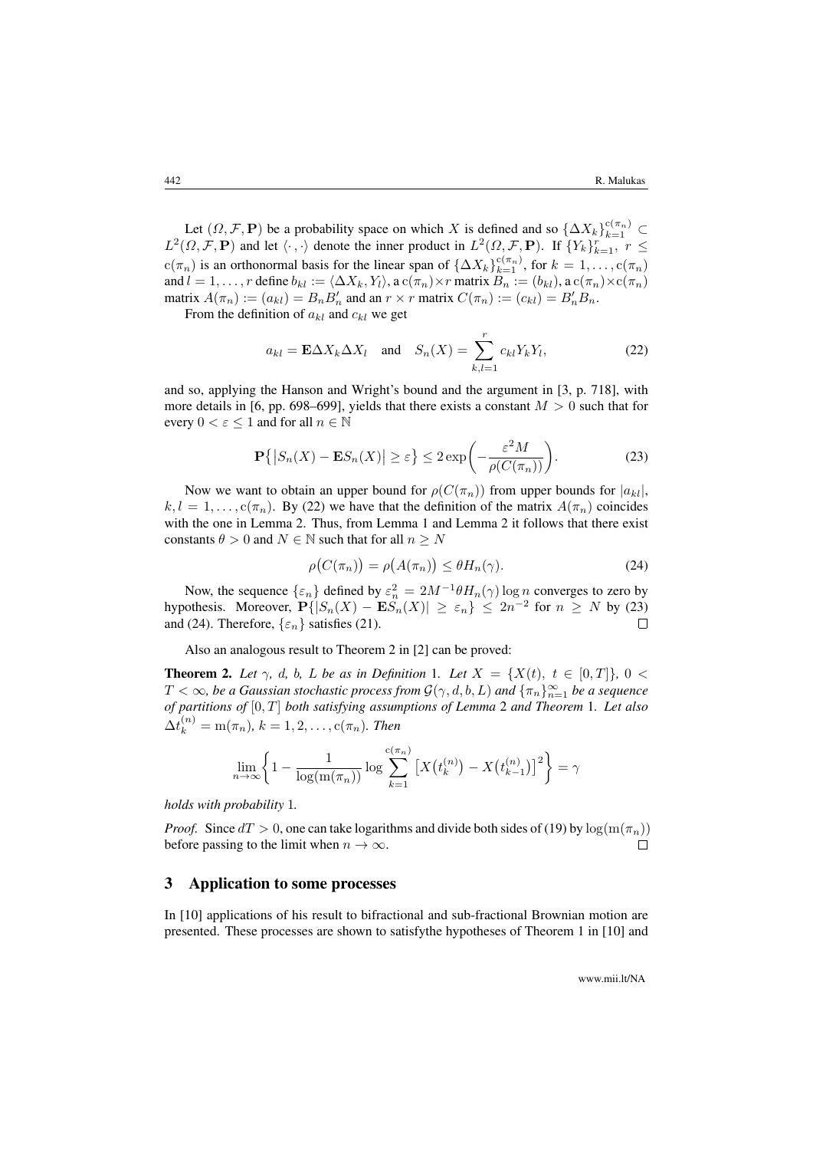Let  $(\Omega, \mathcal{F}, \mathbf{P})$  be a probability space on which X is defined and so  $\{\Delta X_k\}_{k=1}^{c(\pi_n)}$  $L^2(\Omega, \mathcal{F}, \mathbf{P})$  and let  $\langle \cdot, \cdot \rangle$  denote the inner product in  $L^2(\Omega, \mathcal{F}, \mathbf{P})$ . If  $\{Y_k\}_{k=1}^r$ ,  $r \leq$  $c(\pi_n)$  is an orthonormal basis for the linear span of  $\{\Delta X_k\}_{k=1}^{c(\pi_n)}$ , for  $k=1,\ldots,c(\pi_n)$ and  $l = 1, \ldots, r$  define  $b_{kl} := \langle \Delta X_k, Y_l \rangle$ , a  $c(\pi_n) \times r$  matrix  $B_n := (b_{kl})$ , a  $c(\pi_n) \times c(\pi_n)$ matrix  $A(\pi_n) := (a_{kl}) = B_n B'_n$  and an  $r \times r$  matrix  $C(\pi_n) := (c_{kl}) = B'_n B_n$ .

From the definition of  $a_{kl}$  and  $c_{kl}$  we get

$$
a_{kl} = \mathbf{E}\Delta X_k \Delta X_l \quad \text{and} \quad S_n(X) = \sum_{k,l=1}^r c_{kl} Y_k Y_l,
$$
 (22)

and so, applying the Hanson and Wright's bound and the argument in [3, p. 718], with more details in [6, pp. 698–699], yields that there exists a constant  $M > 0$  such that for every  $0 < \varepsilon \leq 1$  and for all  $n \in \mathbb{N}$ 

$$
\mathbf{P}\{|S_n(X) - \mathbf{E}S_n(X)| \ge \varepsilon\} \le 2\exp\bigg(-\frac{\varepsilon^2 M}{\rho(C(\pi_n))}\bigg). \tag{23}
$$

Now we want to obtain an upper bound for  $\rho(C(\pi_n))$  from upper bounds for  $|a_{kl}|$ ,  $k, l = 1, \ldots, c(\pi_n)$ . By (22) we have that the definition of the matrix  $A(\pi_n)$  coincides with the one in Lemma 2. Thus, from Lemma 1 and Lemma 2 it follows that there exist constants  $\theta > 0$  and  $N \in \mathbb{N}$  such that for all  $n \geq N$ 

$$
\rho(C(\pi_n)) = \rho(A(\pi_n)) \le \theta H_n(\gamma). \tag{24}
$$

Now, the sequence  $\{\varepsilon_n\}$  defined by  $\varepsilon_n^2 = 2M^{-1}\theta H_n(\gamma) \log n$  converges to zero by hypothesis. Moreover,  $\mathbf{P}\{|S_n(X) - \mathbf{E}S_n(X)| \ge \varepsilon_n\} \le 2n^{-2}$  for  $n \ge N$  by (23) and (24). Therefore,  $\{\varepsilon_n\}$  satisfies (21).  $\Box$ 

Also an analogous result to Theorem 2 in [2] can be proved:

**Theorem 2.** Let  $\gamma$ , d, b, L be as in Definition 1. Let  $X = \{X(t), t \in [0,T]\}, 0 <$  $T<\infty$ , be a Gaussian stochastic process from  $\mathcal{G}(\gamma,d,b,L)$  and  $\{\pi_n\}_{n=1}^\infty$  be a sequence *of partitions of* [0, T] *both satisfying assumptions of Lemma* 2 *and Theorem* 1*. Let also*  $\Delta t_k^{(n)} = m(\pi_n), k = 1, 2, \dots, c(\pi_n)$ . Then

$$
\lim_{n \to \infty} \left\{ 1 - \frac{1}{\log(\ln(\pi_n))} \log \sum_{k=1}^{c(\pi_n)} \left[ X(t_k^{(n)}) - X(t_{k-1}^{(n)}) \right]^2 \right\} = \gamma
$$

*holds with probability* 1*.*

*Proof.* Since  $dT > 0$ , one can take logarithms and divide both sides of (19) by  $\log(\mathrm{m}(\pi_n))$ before passing to the limit when  $n \to \infty$ .  $\Box$ 

### 3 Application to some processes

In [10] applications of his result to bifractional and sub-fractional Brownian motion are presented. These processes are shown to satisfythe hypotheses of Theorem 1 in [10] and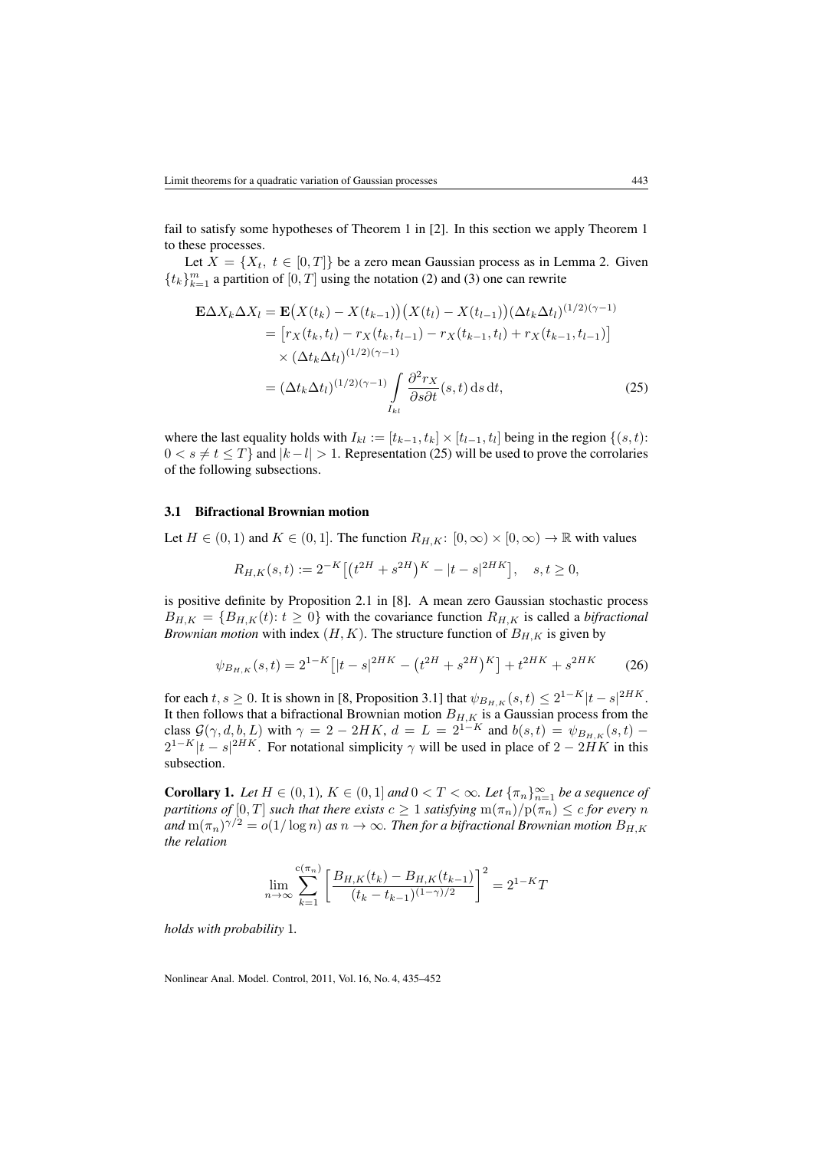fail to satisfy some hypotheses of Theorem 1 in [2]. In this section we apply Theorem 1 to these processes.

Let  $X = \{X_t, t \in [0, T]\}$  be a zero mean Gaussian process as in Lemma 2. Given  ${t_k}_{k=1}^m$  a partition of  $[0, T]$  using the notation (2) and (3) one can rewrite

$$
\mathbf{E}\Delta X_k \Delta X_l = \mathbf{E}\big(X(t_k) - X(t_{k-1})\big)\big(X(t_l) - X(t_{l-1})\big)\big(\Delta t_k \Delta t_l\big)^{(1/2)(\gamma - 1)} \\
= \big[r_X(t_k, t_l) - r_X(t_k, t_{l-1}) - r_X(t_{k-1}, t_l) + r_X(t_{k-1}, t_{l-1})\big] \\
\times \big(\Delta t_k \Delta t_l\big)^{(1/2)(\gamma - 1)} \int \frac{\partial^2 r_X}{\partial s \partial t}(s, t) \,ds \,dt,\n\tag{25}
$$

where the last equality holds with  $I_{kl} := [t_{k-1}, t_k] \times [t_{l-1}, t_l]$  being in the region  $\{(s, t):$  $0 < s \neq t \leq T$  and  $|k - l| > 1$ . Representation (25) will be used to prove the corrolaries of the following subsections.

#### 3.1 Bifractional Brownian motion

Let  $H \in (0,1)$  and  $K \in (0,1]$ . The function  $R_{H,K}: [0,\infty) \times [0,\infty) \to \mathbb{R}$  with values

$$
R_{H,K}(s,t) := 2^{-K} \left[ \left( t^{2H} + s^{2H} \right)^K - |t - s|^{2HK} \right], \quad s, t \ge 0,
$$

is positive definite by Proposition 2.1 in [8]. A mean zero Gaussian stochastic process  $B_{H,K} = \{B_{H,K}(t): t \geq 0\}$  with the covariance function  $R_{H,K}$  is called a *bifractional Brownian motion* with index  $(H, K)$ . The structure function of  $B_{H,K}$  is given by

$$
\psi_{B_{H,K}}(s,t) = 2^{1-K} \left[ |t-s|^{2HK} - \left( t^{2H} + s^{2H} \right)^K \right] + t^{2HK} + s^{2HK} \tag{26}
$$

for each  $t, s \ge 0$ . It is shown in [8, Proposition 3.1] that  $\psi_{B_{H,K}}(s,t) \le 2^{1-K}|t-s|^{2HK}$ . It then follows that a bifractional Brownian motion  $B_{H,K}$  is a Gaussian process from the class  $\mathcal{G}(\gamma, d, b, L)$  with  $\gamma = 2 - 2HK$ ,  $d = L = 2^{1-K}$  and  $b(s,t) = \psi_{B_{H,K}}(s,t)$  $2^{1-K}|t-s|^{2HK}$ . For notational simplicity  $\gamma$  will be used in place of  $2-2HK$  in this subsection.

**Corollary 1.** Let  $H \in (0,1)$ ,  $K \in (0,1]$  and  $0 < T < \infty$ . Let  $\{\pi_n\}_{n=1}^{\infty}$  be a sequence of *partitions of*  $[0, T]$  *such that there exists*  $c \geq 1$  *satisfying*  $m(\pi_n)/p(\pi_n) \leq c$  *for every* n and  $m(\pi_n)^{\gamma/2} = o(1/\log n)$  as  $n \to \infty$ . Then for a bifractional Brownian motion  $B_{H,K}$ *the relation*

$$
\lim_{n \to \infty} \sum_{k=1}^{c(\pi_n)} \left[ \frac{B_{H,K}(t_k) - B_{H,K}(t_{k-1})}{(t_k - t_{k-1})^{(1-\gamma)/2}} \right]^2 = 2^{1-K}T
$$

*holds with probability* 1*.*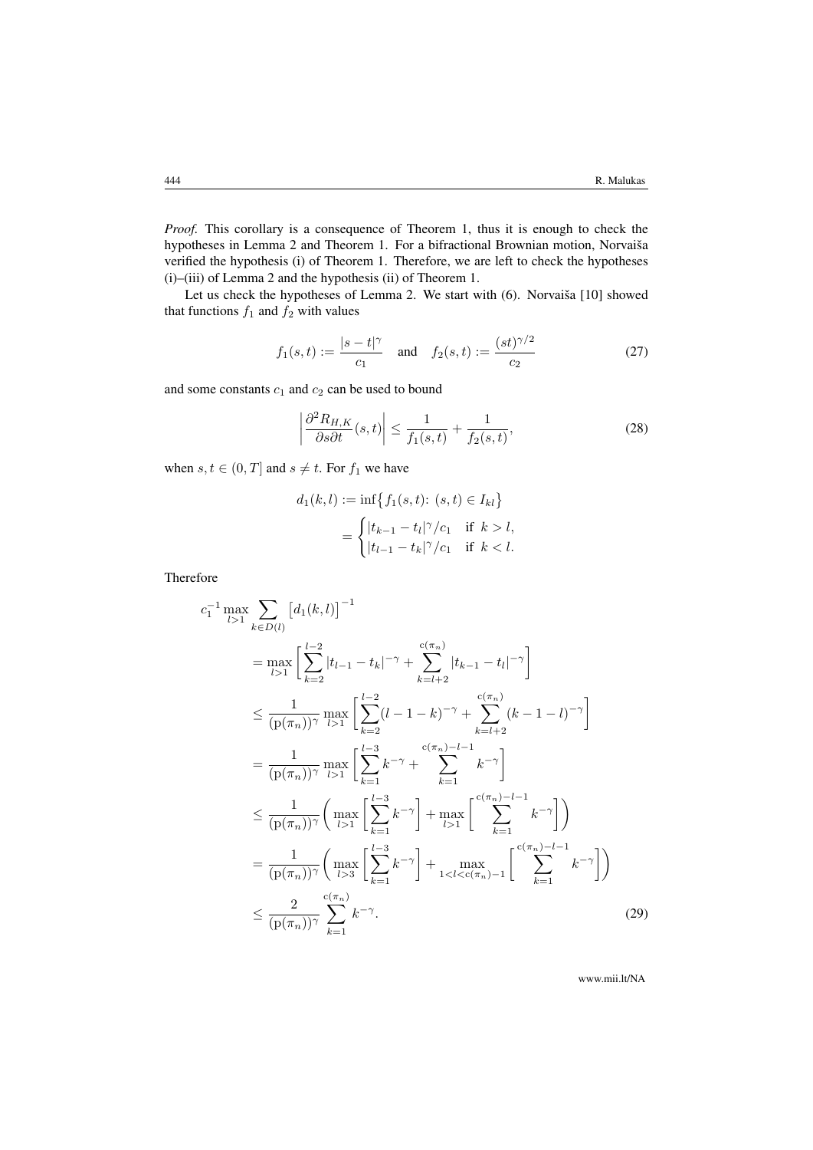*Proof.* This corollary is a consequence of Theorem 1, thus it is enough to check the hypotheses in Lemma 2 and Theorem 1. For a bifractional Brownian motion, Norvaiša verified the hypothesis (i) of Theorem 1. Therefore, we are left to check the hypotheses (i)–(iii) of Lemma 2 and the hypothesis (ii) of Theorem 1.

Let us check the hypotheses of Lemma 2. We start with (6). Norvaiša [10] showed that functions  $f_1$  and  $f_2$  with values

$$
f_1(s,t) := \frac{|s-t|^{\gamma}}{c_1}
$$
 and  $f_2(s,t) := \frac{(st)^{\gamma/2}}{c_2}$  (27)

and some constants  $c_1$  and  $c_2$  can be used to bound

$$
\left| \frac{\partial^2 R_{H,K}}{\partial s \partial t}(s,t) \right| \le \frac{1}{f_1(s,t)} + \frac{1}{f_2(s,t)},\tag{28}
$$

when  $s, t \in (0, T]$  and  $s \neq t$ . For  $f_1$  we have

$$
d_1(k, l) := \inf \{ f_1(s, t) : (s, t) \in I_{kl} \}
$$
  
= 
$$
\begin{cases} |t_{k-1} - t_l|^\gamma / c_1 & \text{if } k > l, \\ |t_{l-1} - t_k|^\gamma / c_1 & \text{if } k < l. \end{cases}
$$

Therefore

$$
c_{1}^{-1} \max_{l>1} \sum_{k\in D(l)} \left[ d_{1}(k,l) \right]^{-1}
$$
\n
$$
= \max_{l>1} \left[ \sum_{k=2}^{l-2} |t_{l-1} - t_{k}|^{-\gamma} + \sum_{k=l+2}^{c(\pi_{n})} |t_{k-1} - t_{l}|^{-\gamma} \right]
$$
\n
$$
\leq \frac{1}{(\mathbf{p}(\pi_{n}))^{\gamma}} \max_{l>1} \left[ \sum_{k=2}^{l-2} (l-1-k)^{-\gamma} + \sum_{k=l+2}^{c(\pi_{n})} (k-1-l)^{-\gamma} \right]
$$
\n
$$
= \frac{1}{(\mathbf{p}(\pi_{n}))^{\gamma}} \max_{l>1} \left[ \sum_{k=1}^{l-3} k^{-\gamma} + \sum_{k=1}^{c(\pi_{n})-l-1} k^{-\gamma} \right]
$$
\n
$$
\leq \frac{1}{(\mathbf{p}(\pi_{n}))^{\gamma}} \left( \max_{l>1} \left[ \sum_{k=1}^{l-3} k^{-\gamma} \right] + \max_{l>1} \left[ \sum_{k=1}^{c(\pi_{n})-l-1} k^{-\gamma} \right] \right)
$$
\n
$$
= \frac{1}{(\mathbf{p}(\pi_{n}))^{\gamma}} \left( \max_{l>3} \left[ \sum_{k=1}^{l-3} k^{-\gamma} \right] + \max_{1 < l < c(\pi_{n})-1} \left[ \sum_{k=1}^{c(\pi_{n})-l-1} k^{-\gamma} \right] \right)
$$
\n
$$
\leq \frac{2}{(\mathbf{p}(\pi_{n}))^{\gamma}} \sum_{k=1}^{c(\pi_{n})} k^{-\gamma}.
$$
\n(29)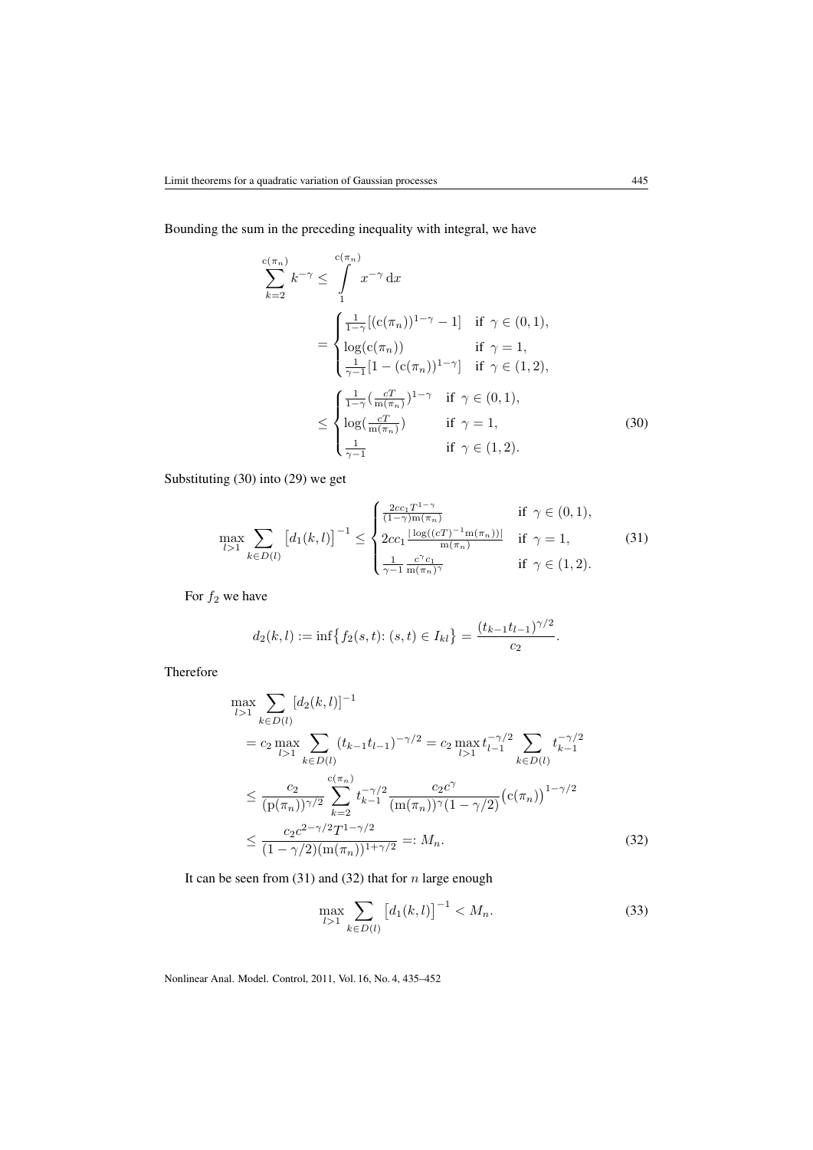Bounding the sum in the preceding inequality with integral, we have

$$
\sum_{k=2}^{c(\pi_n)} k^{-\gamma} \le \int_{1}^{c(\pi_n)} x^{-\gamma} dx
$$
  
= 
$$
\begin{cases} \frac{1}{1-\gamma} [(c(\pi_n))^{1-\gamma} - 1] & \text{if } \gamma \in (0,1), \\ \log(c(\pi_n)) & \text{if } \gamma = 1, \\ \frac{1}{\gamma - 1} [1 - (c(\pi_n))^{1-\gamma}] & \text{if } \gamma \in (1,2), \end{cases}
$$
  

$$
\le \begin{cases} \frac{1}{1-\gamma} (\frac{cT}{m(\pi_n)})^{1-\gamma} & \text{if } \gamma \in (0,1), \\ \log(\frac{cT}{m(\pi_n)}) & \text{if } \gamma = 1, \\ \frac{1}{\gamma - 1} & \text{if } \gamma \in (1,2). \end{cases}
$$
(30)

Substituting (30) into (29) we get

$$
\max_{l>1} \sum_{k \in D(l)} \left[ d_1(k,l) \right]^{-1} \leq \begin{cases} \frac{2cc_1 T^{1-\gamma}}{(1-\gamma)\ln(\pi_n)} & \text{if } \gamma \in (0,1),\\ 2cc_1 \frac{\log((cT)^{-1}\ln(\pi_n))}{\ln(\pi_n)} & \text{if } \gamma = 1,\\ \frac{1}{\gamma - 1} \frac{c^{\gamma}c_1}{\ln(\pi_n)^{\gamma}} & \text{if } \gamma \in (1,2). \end{cases}
$$
(31)

For  $f_2$  we have

$$
d_2(k,l) := \inf \{ f_2(s,t) : (s,t) \in I_{kl} \} = \frac{(t_{k-1}t_{l-1})^{\gamma/2}}{c_2}.
$$

Therefore

$$
\max_{l>1} \sum_{k \in D(l)} [d_2(k, l)]^{-1}
$$
\n
$$
= c_2 \max_{l>1} \sum_{k \in D(l)} (t_{k-1}t_{l-1})^{-\gamma/2} = c_2 \max_{l>1} t_{l-1}^{-\gamma/2} \sum_{k \in D(l)} t_{k-1}^{-\gamma/2}
$$
\n
$$
\leq \frac{c_2}{(\mathbf{p}(\pi_n))^{\gamma/2}} \sum_{k=2}^{c(\pi_n)} t_{k-1}^{-\gamma/2} \frac{c_2 c^{\gamma}}{(\mathbf{m}(\pi_n))^{\gamma} (1 - \gamma/2)} (\mathbf{c}(\pi_n))^{1 - \gamma/2}
$$
\n
$$
\leq \frac{c_2 c^{2 - \gamma/2} T^{1 - \gamma/2}}{(1 - \gamma/2)(\mathbf{m}(\pi_n))^{1 + \gamma/2}} =: M_n.
$$
\n(32)

It can be seen from  $(31)$  and  $(32)$  that for n large enough

$$
\max_{l>1} \sum_{k\in D(l)} \left[ d_1(k,l) \right]^{-1} < M_n. \tag{33}
$$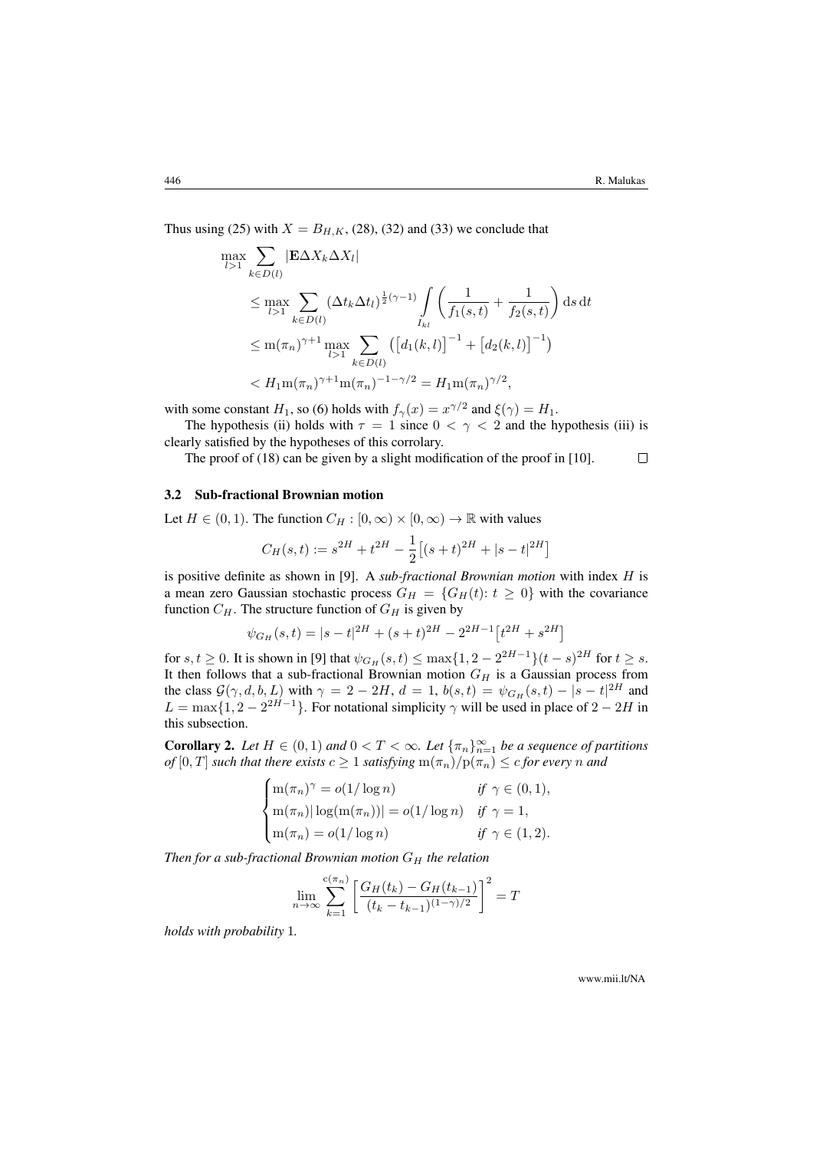Thus using (25) with  $X = B_{H,K}$ , (28), (32) and (33) we conclude that

$$
\max_{l>1} \sum_{k \in D(l)} |\mathbf{E}\Delta X_k \Delta X_l|
$$
\n
$$
\leq \max_{l>1} \sum_{k \in D(l)} (\Delta t_k \Delta t_l)^{\frac{1}{2}(\gamma-1)} \int_{I_{kl}} \left( \frac{1}{f_1(s,t)} + \frac{1}{f_2(s,t)} \right) ds dt
$$
\n
$$
\leq m(\pi_n)^{\gamma+1} \max_{l>1} \sum_{k \in D(l)} \left( \left[ d_1(k,l) \right]^{-1} + \left[ d_2(k,l) \right]^{-1} \right)
$$
\n
$$
< H_1 m(\pi_n)^{\gamma+1} m(\pi_n)^{-1-\gamma/2} = H_1 m(\pi_n)^{\gamma/2},
$$

with some constant  $H_1$ , so (6) holds with  $f_\gamma(x) = x^{\gamma/2}$  and  $\xi(\gamma) = H_1$ .

The hypothesis (ii) holds with  $\tau = 1$  since  $0 < \gamma < 2$  and the hypothesis (iii) is clearly satisfied by the hypotheses of this corrolary.

The proof of (18) can be given by a slight modification of the proof in [10].  $\Box$ 

#### 3.2 Sub-fractional Brownian motion

Let  $H \in (0, 1)$ . The function  $C_H : [0, \infty) \times [0, \infty) \to \mathbb{R}$  with values

$$
C_H(s,t):=s^{2H}+t^{2H}-\frac{1}{2}\big[(s+t)^{2H}+|s-t|^{2H}\big]
$$

is positive definite as shown in [9]. A *sub-fractional Brownian motion* with index H is a mean zero Gaussian stochastic process  $G_H = \{G_H(t): t \geq 0\}$  with the covariance function  $C_H$ . The structure function of  $G_H$  is given by

$$
\psi_{G_H}(s,t) = |s-t|^{2H} + (s+t)^{2H} - 2^{2H-1} \left[ t^{2H} + s^{2H} \right]
$$

for  $s, t \ge 0$ . It is shown in [9] that  $\psi_{G_H}(s,t) \le \max\{1, 2 - 2^{2H-1}\}(t-s)^{2H}$  for  $t \ge s$ . It then follows that a sub-fractional Brownian motion  $G_H$  is a Gaussian process from the class  $G(\gamma, d, b, L)$  with  $\gamma = 2 - 2H$ ,  $d = 1$ ,  $b(s,t) = \psi_{G_H}(s,t) - |s - t|^{2H}$  and  $L = \max\{1, 2 - 2^{2H-1}\}\$ . For notational simplicity  $\gamma$  will be used in place of  $2 - 2H$  in this subsection.

**Corollary 2.** Let  $H \in (0,1)$  and  $0 < T < \infty$ . Let  $\{\pi_n\}_{n=1}^{\infty}$  be a sequence of partitions *of*  $[0, T]$  *such that there exists*  $c \geq 1$  *satisfying*  $m(\pi_n)/p(\pi_n) \leq c$  *for every n and* 

$$
\begin{cases} \n\mathbf{m}(\pi_n)^\gamma = o(1/\log n) & \text{if } \gamma \in (0,1), \\ \n\mathbf{m}(\pi_n) \mid \log(\mathbf{m}(\pi_n)) \mid = o(1/\log n) & \text{if } \gamma = 1, \\ \n\mathbf{m}(\pi_n) = o(1/\log n) & \text{if } \gamma \in (1,2). \n\end{cases}
$$

*Then for a sub-fractional Brownian motion*  $G_H$  *the relation* 

$$
\lim_{n \to \infty} \sum_{k=1}^{c(\pi_n)} \left[ \frac{G_H(t_k) - G_H(t_{k-1})}{(t_k - t_{k-1})^{(1-\gamma)/2}} \right]^2 = T
$$

*holds with probability* 1*.*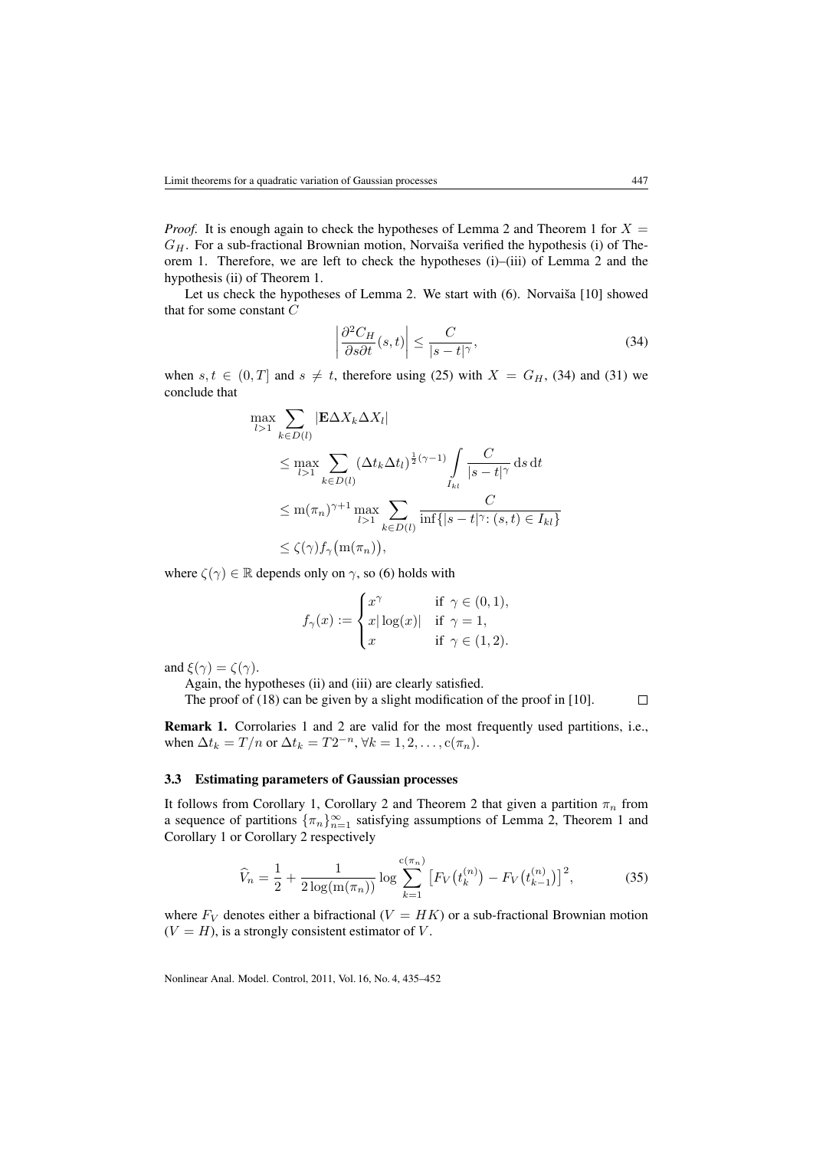*Proof.* It is enough again to check the hypotheses of Lemma 2 and Theorem 1 for  $X =$  $G_H$ . For a sub-fractional Brownian motion, Norvaiša verified the hypothesis (i) of Theorem 1. Therefore, we are left to check the hypotheses (i)–(iii) of Lemma 2 and the hypothesis (ii) of Theorem 1.

Let us check the hypotheses of Lemma 2. We start with (6). Norvaiša [10] showed that for some constant C

$$
\left| \frac{\partial^2 C_H}{\partial s \partial t}(s, t) \right| \le \frac{C}{|s - t|^\gamma},\tag{34}
$$

when  $s, t \in (0, T]$  and  $s \neq t$ , therefore using (25) with  $X = G_H$ , (34) and (31) we conclude that

$$
\max_{l>1} \sum_{k \in D(l)} |\mathbf{E}\Delta X_k \Delta X_l|
$$
\n
$$
\leq \max_{l>1} \sum_{k \in D(l)} (\Delta t_k \Delta t_l)^{\frac{1}{2}(\gamma-1)} \int_{I_{kl}} \frac{C}{|s-t|^\gamma} ds dt
$$
\n
$$
\leq m(\pi_n)^{\gamma+1} \max_{l>1} \sum_{k \in D(l)} \frac{C}{\inf\{|s-t|^\gamma : (s,t) \in I_{kl}\}}
$$
\n
$$
\leq \zeta(\gamma) f_\gamma \big( m(\pi_n) \big),
$$

where  $\zeta(\gamma) \in \mathbb{R}$  depends only on  $\gamma$ , so (6) holds with

$$
f_{\gamma}(x) := \begin{cases} x^{\gamma} & \text{if } \gamma \in (0,1), \\ x|\log(x)| & \text{if } \gamma = 1, \\ x & \text{if } \gamma \in (1,2). \end{cases}
$$

and  $\xi(\gamma) = \zeta(\gamma)$ .

Again, the hypotheses (ii) and (iii) are clearly satisfied.

The proof of (18) can be given by a slight modification of the proof in [10].  $\Box$ 

Remark 1. Corrolaries 1 and 2 are valid for the most frequently used partitions, i.e., when  $\Delta t_k = T/n$  or  $\Delta t_k = T2^{-n}, \forall k = 1, 2, \dots, c(\pi_n)$ .

#### 3.3 Estimating parameters of Gaussian processes

It follows from Corollary 1, Corollary 2 and Theorem 2 that given a partition  $\pi_n$  from a sequence of partitions  $\{\pi_n\}_{n=1}^{\infty}$  satisfying assumptions of Lemma 2, Theorem 1 and Corollary 1 or Corollary 2 respectively

$$
\widehat{V}_n = \frac{1}{2} + \frac{1}{2\log(\mathbf{m}(\pi_n))}\log \sum_{k=1}^{c(\pi_n)} \left[ F_V(t_k^{(n)}) - F_V(t_{k-1}^{(n)}) \right]^2, \tag{35}
$$

where  $F_V$  denotes either a bifractional  $(V = HK)$  or a sub-fractional Brownian motion  $(V = H)$ , is a strongly consistent estimator of V.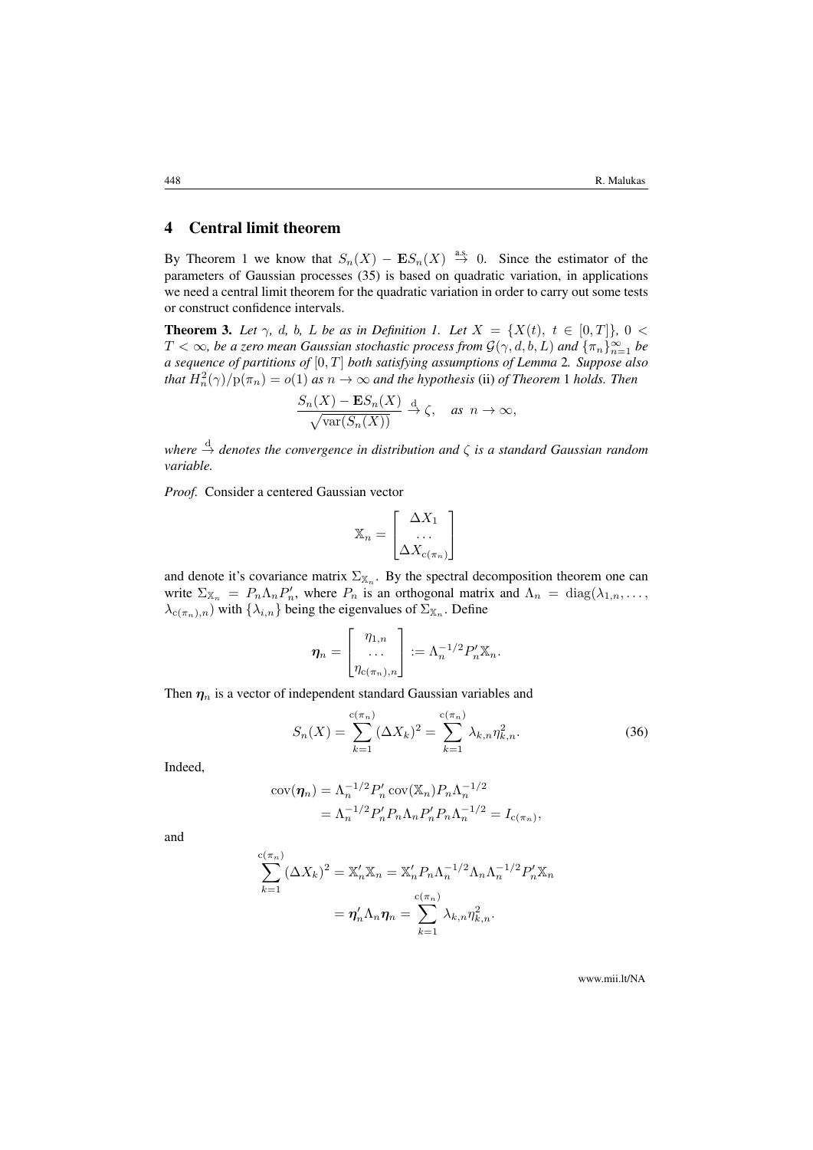# 4 Central limit theorem

By Theorem 1 we know that  $S_n(X) - ES_n(X) \stackrel{a.s.}{\to} 0$ . Since the estimator of the parameters of Gaussian processes (35) is based on quadratic variation, in applications we need a central limit theorem for the quadratic variation in order to carry out some tests or construct confidence intervals.

**Theorem 3.** Let  $\gamma$ , d, b, L be as in Definition 1. Let  $X = \{X(t), t \in [0,T]\}, 0 <$  $T<\infty$ , be a zero mean Gaussian stochastic process from  $\mathcal{G}(\gamma,d,b,L)$  and  $\{\pi_n\}_{n=1}^\infty$  be *a sequence of partitions of* [0, T] *both satisfying assumptions of Lemma* 2*. Suppose also that*  $H_n^2(\gamma)/p(\pi_n) = o(1)$  *as*  $n \to \infty$  *and the hypothesis* (ii) *of Theorem* 1 *holds. Then* 

$$
\frac{S_n(X) - \mathbf{E}S_n(X)}{\sqrt{\text{var}(S_n(X))}} \xrightarrow{d} \zeta, \quad \text{as } n \to \infty,
$$

*where*  $\stackrel{\text{d}}{\rightarrow}$  *denotes the convergence in distribution and*  $ζ$  *is a standard Gaussian random variable.*

*Proof.* Consider a centered Gaussian vector

$$
\mathbb{X}_n = \begin{bmatrix} \Delta X_1 \\ \dots \\ \Delta X_{c(\pi_n)} \end{bmatrix}
$$

and denote it's covariance matrix  $\Sigma_{\mathbb{X}_n}$ . By the spectral decomposition theorem one can write  $\Sigma_{\mathbb{X}_n} = P_n \Lambda_n P'_n$ , where  $P_n$  is an orthogonal matrix and  $\Lambda_n = \text{diag}(\lambda_{1,n}, \ldots, \lambda_n)$  $\lambda_{c(\pi_n),n}$  with  $\{\lambda_{i,n}\}$  being the eigenvalues of  $\Sigma_{\mathbb{X}_n}$ . Define

$$
\boldsymbol{\eta}_n = \begin{bmatrix} \eta_{1,n} \\ \ldots \\ \eta_{c(\pi_n),n} \end{bmatrix} := \Lambda_n^{-1/2} P_n' \mathbb{X}_n.
$$

Then  $\eta_n$  is a vector of independent standard Gaussian variables and

$$
S_n(X) = \sum_{k=1}^{c(\pi_n)} (\Delta X_k)^2 = \sum_{k=1}^{c(\pi_n)} \lambda_{k,n} \eta_{k,n}^2.
$$
 (36)

Indeed,

$$
cov(\eta_n) = \Lambda_n^{-1/2} P'_n cov(\mathbb{X}_n) P_n \Lambda_n^{-1/2}
$$
  
=  $\Lambda_n^{-1/2} P'_n P_n \Lambda_n P'_n P_n \Lambda_n^{-1/2} = I_{c(\pi_n)},$ 

and

$$
\sum_{k=1}^{c(\pi_n)} (\Delta X_k)^2 = \mathbb{X}_n' \mathbb{X}_n = \mathbb{X}_n' P_n \Lambda_n^{-1/2} \Lambda_n \Lambda_n^{-1/2} P_n' \mathbb{X}_n
$$

$$
= \eta_n' \Lambda_n \eta_n = \sum_{k=1}^{c(\pi_n)} \lambda_{k,n} \eta_{k,n}^2.
$$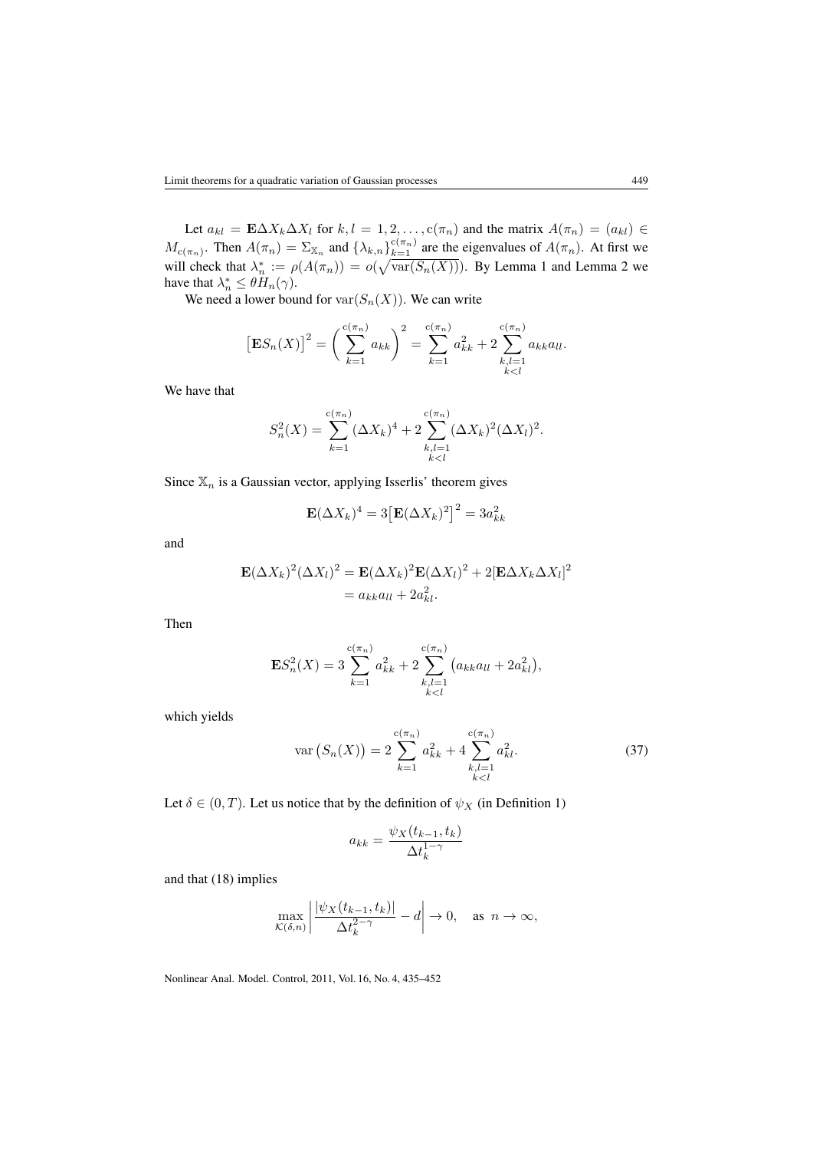Let  $a_{kl} = \mathbf{E} \Delta X_k \Delta X_l$  for  $k, l = 1, 2, \dots, c(\pi_n)$  and the matrix  $A(\pi_n) = (a_{kl}) \in$  $M_{c(\pi_n)}$ . Then  $A(\pi_n) = \sum_{\mathbb{X}_n}$  and  $\{\lambda_{k,n}\}_{k=1}^{c(\pi_n)}$  are the eigenvalues of  $A(\pi_n)$ . At first we will check that  $\lambda_n^* := \rho(A(\pi_n)) = o(\sqrt{\text{var}(S_n(X))})$ . By Lemma 1 and Lemma 2 we have that  $\lambda_n^* \leq \theta H_n(\gamma)$ .

We need a lower bound for  $\text{var}(S_n(X))$ . We can write

$$
\left[\mathbf{E}S_n(X)\right]^2 = \left(\sum_{k=1}^{c(\pi_n)} a_{kk}\right)^2 = \sum_{k=1}^{c(\pi_n)} a_{kk}^2 + 2\sum_{\substack{k,l=1\\k
$$

We have that

$$
S_n^2(X) = \sum_{k=1}^{c(\pi_n)} (\Delta X_k)^4 + 2 \sum_{\substack{k,l=1\\k
$$

Since  $\mathbb{X}_n$  is a Gaussian vector, applying Isserlis' theorem gives

$$
\mathbf{E}(\Delta X_k)^4 = 3\big[\mathbf{E}(\Delta X_k)^2\big]^2 = 3a_{kk}^2
$$

and

$$
\mathbf{E}(\Delta X_k)^2 (\Delta X_l)^2 = \mathbf{E}(\Delta X_k)^2 \mathbf{E}(\Delta X_l)^2 + 2[\mathbf{E}\Delta X_k \Delta X_l]^2
$$
  
=  $a_{kk}a_{ll} + 2a_{kl}^2$ .

Then

$$
\mathbf{E}S_n^2(X) = 3\sum_{k=1}^{c(\pi_n)} a_{kk}^2 + 2\sum_{\substack{k,l=1\\k
$$

which yields

$$
\operatorname{var}\left(S_n(X)\right) = 2 \sum_{k=1}^{c(\pi_n)} a_{kk}^2 + 4 \sum_{\substack{k,l=1\\k (37)
$$

Let  $\delta \in (0, T)$ . Let us notice that by the definition of  $\psi_X$  (in Definition 1)

$$
a_{kk} = \frac{\psi_X(t_{k-1}, t_k)}{\Delta t_k^{1-\gamma}}
$$

and that (18) implies

$$
\max_{\mathcal{K}(\delta,n)} \left| \frac{|\psi_X(t_{k-1}, t_k)|}{\Delta t_k^{2-\gamma}} - d \right| \to 0, \quad \text{as } n \to \infty,
$$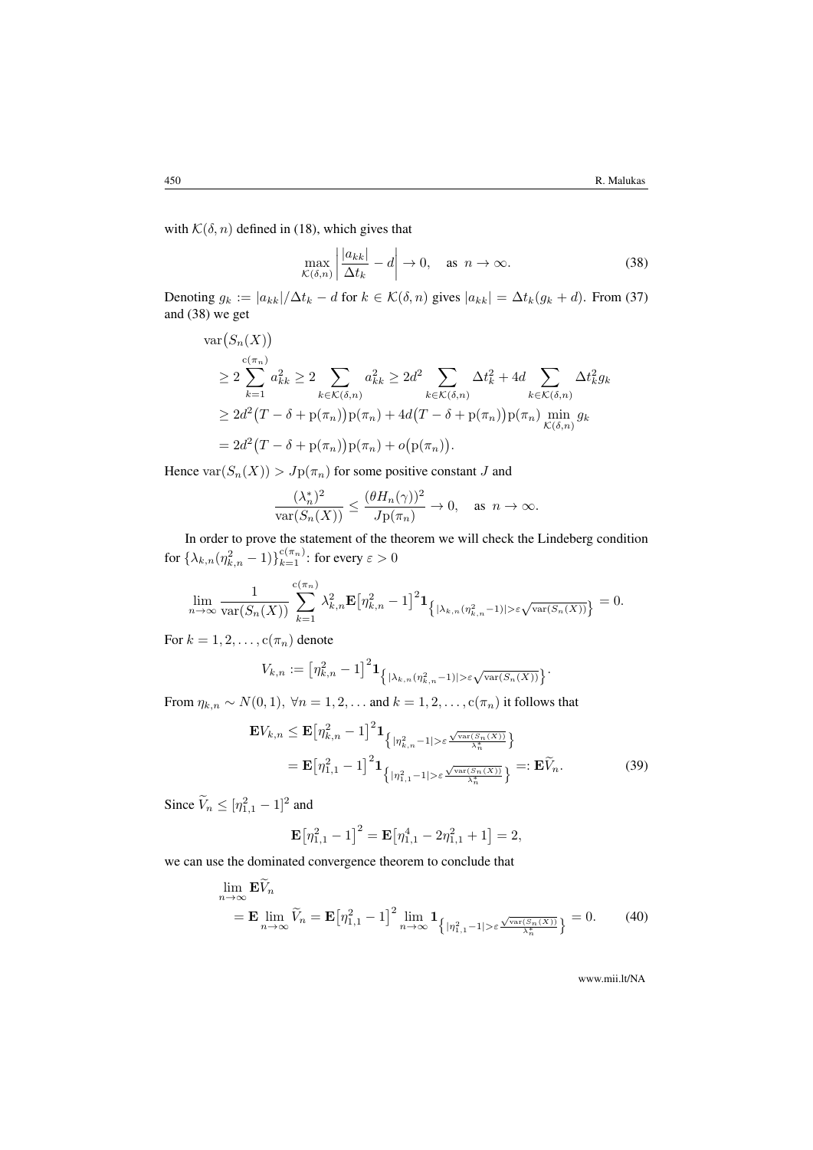with  $\mathcal{K}(\delta, n)$  defined in (18), which gives that

$$
\max_{\mathcal{K}(\delta,n)} \left| \frac{|a_{kk}|}{\Delta t_k} - d \right| \to 0, \quad \text{as } n \to \infty.
$$
 (38)

Denoting  $g_k := |a_{kk}|/\Delta t_k - d$  for  $k \in \mathcal{K}(\delta, n)$  gives  $|a_{kk}| = \Delta t_k(g_k + d)$ . From (37) and (38) we get

$$
\operatorname{var}(S_n(X))
$$
\n
$$
\geq 2 \sum_{k=1}^{c(\pi_n)} a_{kk}^2 \geq 2 \sum_{k \in \mathcal{K}(\delta,n)} a_{kk}^2 \geq 2d^2 \sum_{k \in \mathcal{K}(\delta,n)} \Delta t_k^2 + 4d \sum_{k \in \mathcal{K}(\delta,n)} \Delta t_k^2 g_k
$$
\n
$$
\geq 2d^2 (T - \delta + p(\pi_n)) p(\pi_n) + 4d(T - \delta + p(\pi_n)) p(\pi_n) \min_{\mathcal{K}(\delta,n)} g_k
$$
\n
$$
= 2d^2 (T - \delta + p(\pi_n)) p(\pi_n) + o(p(\pi_n)).
$$

Hence  $var(S_n(X)) > Jp(\pi_n)$  for some positive constant J and

$$
\frac{(\lambda_n^*)^2}{\text{var}(S_n(X))} \le \frac{(\theta H_n(\gamma))^2}{Jp(\pi_n)} \to 0, \quad \text{as } n \to \infty.
$$

In order to prove the statement of the theorem we will check the Lindeberg condition for  $\{\lambda_{k,n}(\eta_{k,n}^2-1)\}_{k=1}^{c(\pi_n)}$ : for every  $\varepsilon>0$ 

$$
\lim_{n\to\infty} \frac{1}{\text{var}(S_n(X))} \sum_{k=1}^{c(\pi_n)} \lambda_{k,n}^2 \mathbf{E} \big[\eta_{k,n}^2 - 1\big]^2 \mathbf{1}_{\left\{|\lambda_{k,n}(\eta_{k,n}^2 - 1)| > \varepsilon \sqrt{\text{var}(S_n(X))}\right\}} = 0.
$$

For  $k = 1, 2, \ldots, c(\pi_n)$  denote

$$
V_{k,n}:=\left[\eta_{k,n}^2-1\right]^2\mathbf{1}_{\left\lbrace\vert \lambda_{k,n}(\eta_{k,n}^2-1)\vert>\varepsilon\sqrt{\mathrm{var}(S_n(X))}\right\rbrace}.
$$

From  $\eta_{k,n} \sim N(0,1)$ ,  $\forall n = 1,2,...$  and  $k = 1,2,...$ ,  $c(\pi_n)$  it follows that

$$
\mathbf{E}V_{k,n} \leq \mathbf{E} \left[ \eta_{k,n}^2 - 1 \right]^2 \mathbf{1}_{\left\{ |\eta_{k,n}^2 - 1| > \varepsilon \frac{\sqrt{\text{var}(S_n(X))}}{\lambda_n^*} \right\}} \n= \mathbf{E} \left[ \eta_{1,1}^2 - 1 \right]^2 \mathbf{1}_{\left\{ |\eta_{1,1}^2 - 1| > \varepsilon \frac{\sqrt{\text{var}(S_n(X))}}{\lambda_n^*} \right\}} =: \mathbf{E} \widetilde{V}_n.
$$
\n(39)

Since  $\widetilde{V}_n \leq [\eta_{1,1}^2 - 1]^2$  and

$$
\mathbf{E}[\eta_{1,1}^2 - 1]^2 = \mathbf{E}[\eta_{1,1}^4 - 2\eta_{1,1}^2 + 1] = 2,
$$

we can use the dominated convergence theorem to conclude that

$$
\lim_{n \to \infty} \mathbf{E}\widetilde{V}_n = \mathbf{E} \lim_{n \to \infty} \widetilde{V}_n = \mathbf{E} \left[ \eta_{1,1}^2 - 1 \right]^2 \lim_{n \to \infty} \mathbf{1}_{\left\{ |\eta_{1,1}^2 - 1| > \varepsilon \frac{\sqrt{\text{var}(S_n(X))}}{\lambda_n^*} \right\}} = 0. \tag{40}
$$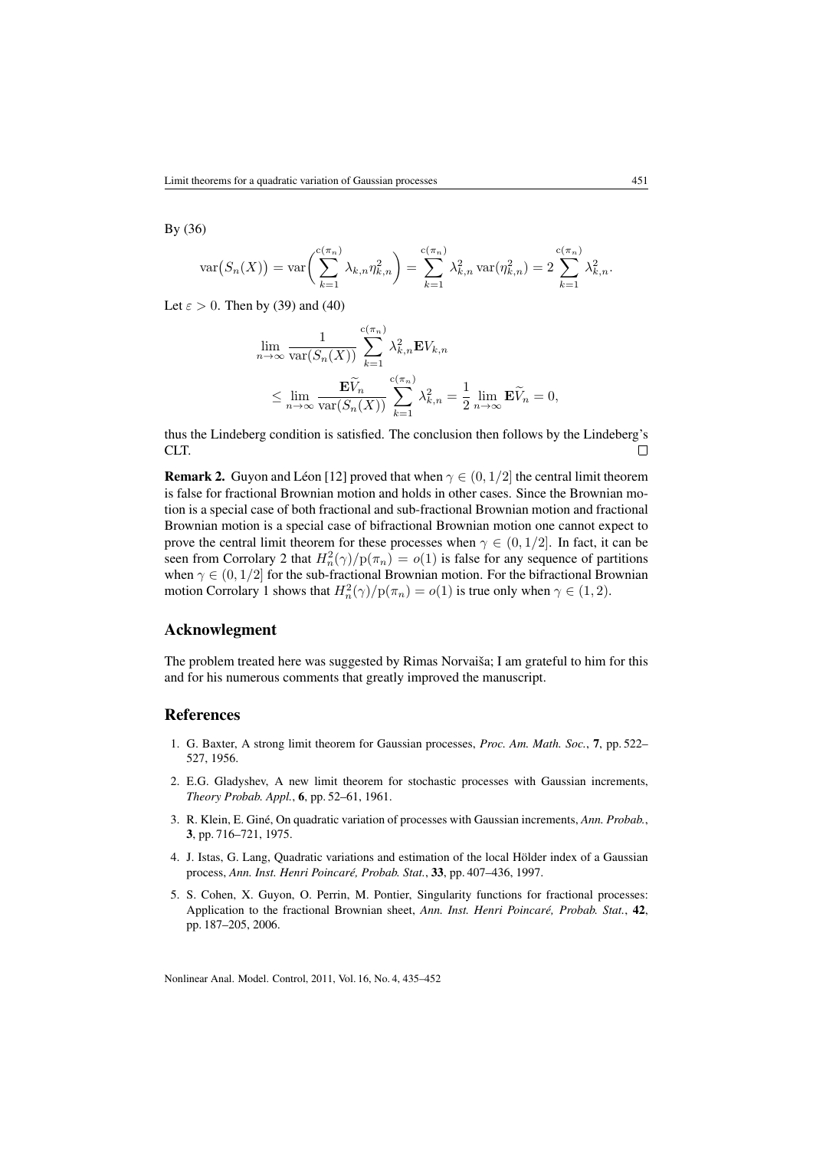By (36)

$$
\text{var}(S_n(X)) = \text{var}\left(\sum_{k=1}^{c(\pi_n)} \lambda_{k,n} \eta_{k,n}^2\right) = \sum_{k=1}^{c(\pi_n)} \lambda_{k,n}^2 \text{ var}(\eta_{k,n}^2) = 2 \sum_{k=1}^{c(\pi_n)} \lambda_{k,n}^2.
$$

Let  $\varepsilon > 0$ . Then by (39) and (40)

$$
\lim_{n \to \infty} \frac{1}{\text{var}(S_n(X))} \sum_{k=1}^{c(\pi_n)} \lambda_{k,n}^2 \mathbf{E} V_{k,n}
$$
\n
$$
\leq \lim_{n \to \infty} \frac{\mathbf{E} \widetilde{V}_n}{\text{var}(S_n(X))} \sum_{k=1}^{c(\pi_n)} \lambda_{k,n}^2 = \frac{1}{2} \lim_{n \to \infty} \mathbf{E} \widetilde{V}_n = 0,
$$

thus the Lindeberg condition is satisfied. The conclusion then follows by the Lindeberg's CLT. П

**Remark 2.** Guyon and Léon [12] proved that when  $\gamma \in (0, 1/2]$  the central limit theorem is false for fractional Brownian motion and holds in other cases. Since the Brownian motion is a special case of both fractional and sub-fractional Brownian motion and fractional Brownian motion is a special case of bifractional Brownian motion one cannot expect to prove the central limit theorem for these processes when  $\gamma \in (0, 1/2]$ . In fact, it can be seen from Corrolary 2 that  $H_n^2(\gamma)/p(\pi_n) = o(1)$  is false for any sequence of partitions when  $\gamma \in (0, 1/2]$  for the sub-fractional Brownian motion. For the bifractional Brownian motion Corrolary 1 shows that  $H_n^2(\gamma)/p(\pi_n) = o(1)$  is true only when  $\gamma \in (1, 2)$ .

## Acknowlegment

The problem treated here was suggested by Rimas Norvaiša; I am grateful to him for this and for his numerous comments that greatly improved the manuscript.

## References

- 1. G. Baxter, A strong limit theorem for Gaussian processes, *Proc. Am. Math. Soc.*, 7, pp. 522– 527, 1956.
- 2. E.G. Gladyshev, A new limit theorem for stochastic processes with Gaussian increments, *Theory Probab. Appl.*, 6, pp. 52–61, 1961.
- 3. R. Klein, E. Giné, On quadratic variation of processes with Gaussian increments, *Ann. Probab.*, 3, pp. 716–721, 1975.
- 4. J. Istas, G. Lang, Quadratic variations and estimation of the local Hölder index of a Gaussian process, *Ann. Inst. Henri Poincaré, Probab. Stat.*, 33, pp. 407–436, 1997.
- 5. S. Cohen, X. Guyon, O. Perrin, M. Pontier, Singularity functions for fractional processes: Application to the fractional Brownian sheet, *Ann. Inst. Henri Poincaré, Probab. Stat.*, 42, pp. 187–205, 2006.